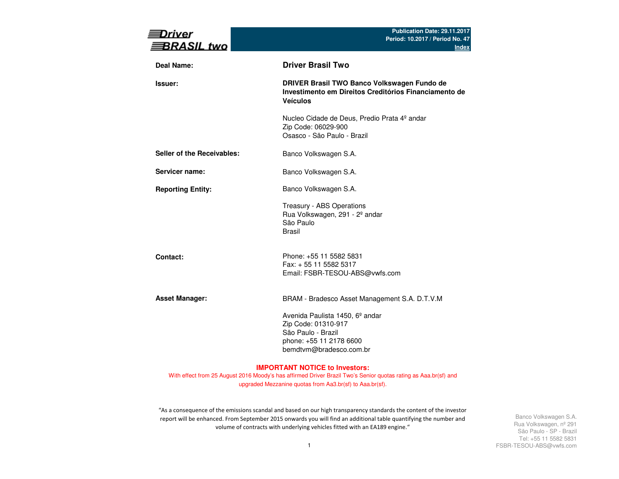| Driver<br>BRASIL two       | Publication Date: 29.11.2017<br>Period: 10.2017 / Period No. 47<br><b>Index</b>                                                                |
|----------------------------|------------------------------------------------------------------------------------------------------------------------------------------------|
| Deal Name:                 | <b>Driver Brasil Two</b>                                                                                                                       |
| Issuer:                    | DRIVER Brasil TWO Banco Volkswagen Fundo de<br>Investimento em Direitos Creditórios Financiamento de<br><b>Veículos</b>                        |
|                            | Nucleo Cidade de Deus, Predio Prata 4º andar<br>Zip Code: 06029-900<br>Osasco - São Paulo - Brazil                                             |
| Seller of the Receivables: | Banco Volkswagen S.A.                                                                                                                          |
| Servicer name:             | Banco Volkswagen S.A.                                                                                                                          |
| <b>Reporting Entity:</b>   | Banco Volkswagen S.A.                                                                                                                          |
|                            | Treasury - ABS Operations<br>Rua Volkswagen, 291 - 2º andar<br>São Paulo<br><b>Brasil</b>                                                      |
| Contact:                   | Phone: +55 11 5582 5831<br>Fax: + 55 11 5582 5317<br>Email: FSBR-TESOU-ABS@vwfs.com                                                            |
| <b>Asset Manager:</b>      | BRAM - Bradesco Asset Management S.A. D.T.V.M                                                                                                  |
|                            | Avenida Paulista 1450, 6 <sup>°</sup> andar<br>Zip Code: 01310-917<br>São Paulo - Brazil<br>phone: +55 11 2178 6600<br>bemdtvm@bradesco.com.br |

#### **IMPORTANT NOTICE to Investors:**

 With effect from 25 August 2016 Moody's has affirmed Driver Brazil Two's Senior quotas rating as Aaa.br(sf) andupgraded Mezzanine quotas from Aa3.br(sf) to Aaa.br(sf).

"As a consequence of the emissions scandal and based on our high transparency standards the content of the investor report will be enhanced. From September 2015 onwards you will find an additional table quantifying the number and volume of contracts with underlying vehicles fitted with an EA189 engine."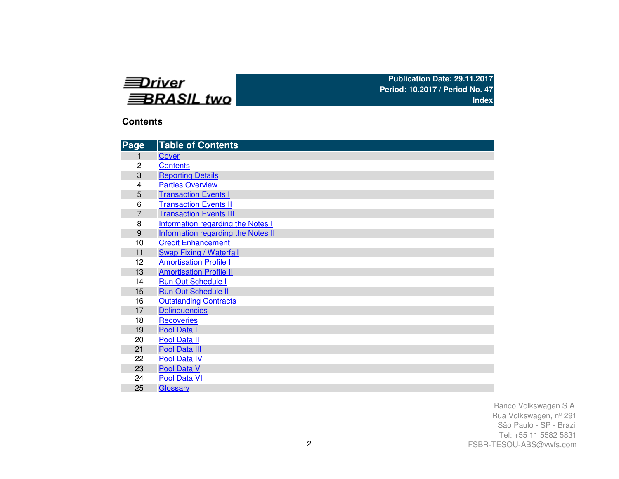

## **Contents**

| Page           | <b>Table of Contents</b>                  |
|----------------|-------------------------------------------|
| 1              | Cover                                     |
| $\overline{c}$ | <b>Contents</b>                           |
| 3              | <b>Reporting Details</b>                  |
| 4              | <b>Parties Overview</b>                   |
| 5              | <b>Transaction Events I</b>               |
| 6              | <b>Transaction Events II</b>              |
| $\overline{7}$ | <b>Transaction Events III</b>             |
| 8              | <b>Information regarding the Notes I</b>  |
| 9              | <b>Information regarding the Notes II</b> |
| 10             | <b>Credit Enhancement</b>                 |
| 11             | <b>Swap Fixing / Waterfall</b>            |
| 12             | <b>Amortisation Profile I</b>             |
| 13             | <b>Amortisation Profile II</b>            |
| 14             | <b>Run Out Schedule I</b>                 |
| 15             | <b>Run Out Schedule II</b>                |
| 16             | <b>Outstanding Contracts</b>              |
| 17             | <b>Delinquencies</b>                      |
| 18             | <b>Recoveries</b>                         |
| 19             | Pool Data I                               |
| 20             | Pool Data II                              |
| 21             | Pool Data III                             |
| 22             | Pool Data IV                              |
| 23             | Pool Data V                               |
| 24             | Pool Data VI                              |
| 25             | Glossary                                  |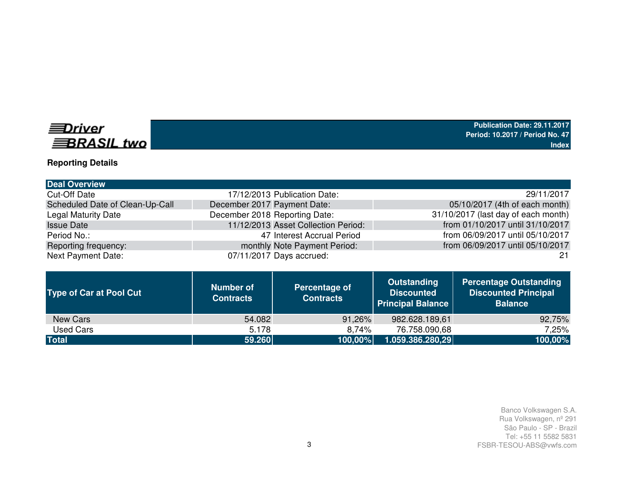

**Reporting Details**

#### **Deal Overview**Cut-Off Date 17/12/2013 Publication Date: Scheduled Date of Clean-Up-CallI December 2017 Payment Date: Legal Maturity Date **December 2018** Reporting Date: Issue Date 11/12/2013 Asset Collection Period: Period No.: 47 Interest Accrual PeriodReporting frequency: which are all the monthly Note Payment Period: Next Payment Date: 07/11/2017 Days accrued: 21 29/11/2017 05/10/2017 (4th of each month)31/10/2017 (last day of each month) from 01/10/2017 until 31/10/2017 from 06/09/2017 until 05/10/2017from 06/09/2017 until 05/10/2017

| <b>Type of Car at Pool Cut</b> | <b>Number of</b><br><b>Contracts</b> | Percentage of<br><b>Contracts</b> | Outstanding<br><b>Discounted</b><br><b>Principal Balance</b> | <b>Percentage Outstanding</b><br><b>Discounted Principal</b><br><b>Balance</b> |
|--------------------------------|--------------------------------------|-----------------------------------|--------------------------------------------------------------|--------------------------------------------------------------------------------|
| New Cars                       | 54.082                               | 91,26%                            | 982.628.189,61                                               | 92,75%                                                                         |
| Used Cars                      | 5.178                                | 8,74%                             | 76.758.090,68                                                | 7,25%                                                                          |
| <b>Total</b>                   | 59.260                               | $ 100.00\% $                      | 1.059.386.280,29                                             | 100,00%                                                                        |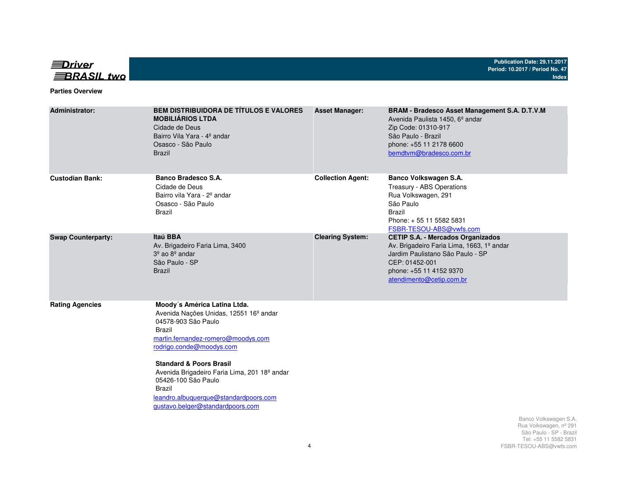

#### **Parties Overview**

| <b>Administrator:</b>     | <b>BEM DISTRIBUIDORA DE TÍTULOS E VALORES</b><br><b>MOBILIÁRIOS LTDA</b><br>Cidade de Deus<br>Bairro Vila Yara - 4º andar<br>Osasco - São Paulo<br><b>Brazil</b>                                                                                                                                                                                                                          | <b>Asset Manager:</b>    | BRAM - Bradesco Asset Management S.A. D.T.V.M<br>Avenida Paulista 1450, 6 <sup>°</sup> andar<br>Zip Code: 01310-917<br>São Paulo - Brazil<br>phone: +55 11 2178 6600<br>bemdtvm@bradesco.com.br    |                                                   |
|---------------------------|-------------------------------------------------------------------------------------------------------------------------------------------------------------------------------------------------------------------------------------------------------------------------------------------------------------------------------------------------------------------------------------------|--------------------------|----------------------------------------------------------------------------------------------------------------------------------------------------------------------------------------------------|---------------------------------------------------|
| <b>Custodian Bank:</b>    | Banco Bradesco S.A.<br>Cidade de Deus<br>Bairro vila Yara - 2º andar<br>Osasco - São Paulo<br>Brazil                                                                                                                                                                                                                                                                                      | <b>Collection Agent:</b> | Banco Volkswagen S.A.<br>Treasury - ABS Operations<br>Rua Volkswagen, 291<br>São Paulo<br>Brazil<br>Phone: +55 11 5582 5831<br>FSBR-TESOU-ABS@vwfs.com                                             |                                                   |
| <b>Swap Counterparty:</b> | Itaú BBA<br>Av. Brigadeiro Faria Lima, 3400<br>$3°$ ao $8°$ andar<br>São Paulo - SP<br><b>Brazil</b>                                                                                                                                                                                                                                                                                      | <b>Clearing System:</b>  | <b>CETIP S.A. - Mercados Organizados</b><br>Av. Brigadeiro Faria Lima, 1663, 1º andar<br>Jardim Paulistano São Paulo - SP<br>CEP: 01452-001<br>phone: +55 11 4152 9370<br>atendimento@cetip.com.br |                                                   |
| <b>Rating Agencies</b>    | Moody's América Latina Ltda.<br>Avenida Nações Unidas, 12551 16 <sup>°</sup> andar<br>04578-903 São Paulo<br>Brazil<br>martin.fernandez-romero@moodys.com<br>rodrigo.conde@moodys.com<br><b>Standard &amp; Poors Brasil</b><br>Avenida Brigadeiro Faria Lima, 201 18º andar<br>05426-100 São Paulo<br>Brazil<br>leandro.albuquerque@standardpoors.com<br>gustavo.belger@standardpoors.com |                          |                                                                                                                                                                                                    | Banco Volkswagen S.A.                             |
|                           |                                                                                                                                                                                                                                                                                                                                                                                           |                          |                                                                                                                                                                                                    | Rua Volkswagen, nº 291<br>São Paulo - SP - Brazil |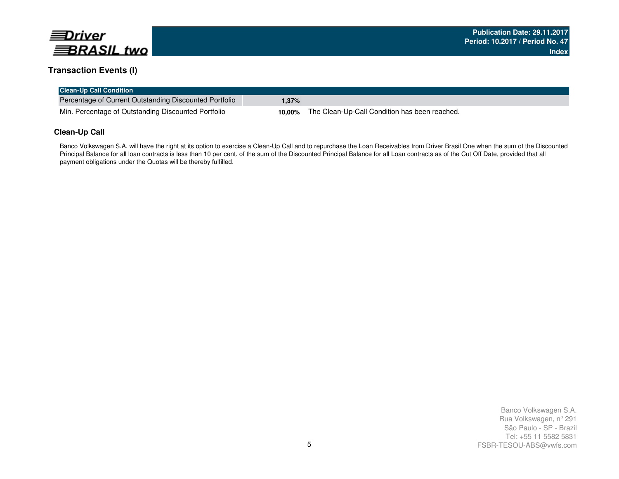

### **Transaction Events (I)**

| <b>Clean-Up Call Condition</b>                         |          |                                                      |
|--------------------------------------------------------|----------|------------------------------------------------------|
| Percentage of Current Outstanding Discounted Portfolio | $1.37\%$ |                                                      |
| Min. Percentage of Outstanding Discounted Portfolio    |          | 10,00% The Clean-Up-Call Condition has been reached. |

### **Clean-Up Call**

Banco Volkswagen S.A. will have the right at its option to exercise a Clean-Up Call and to repurchase the Loan Receivables from Driver Brasil One when the sum of the Discounted Principal Balance for all loan contracts is less than 10 per cent. of the sum of the Discounted Principal Balance for all Loan contracts as of the Cut Off Date, provided that all payment obligations under the Quotas will be thereby fulfilled.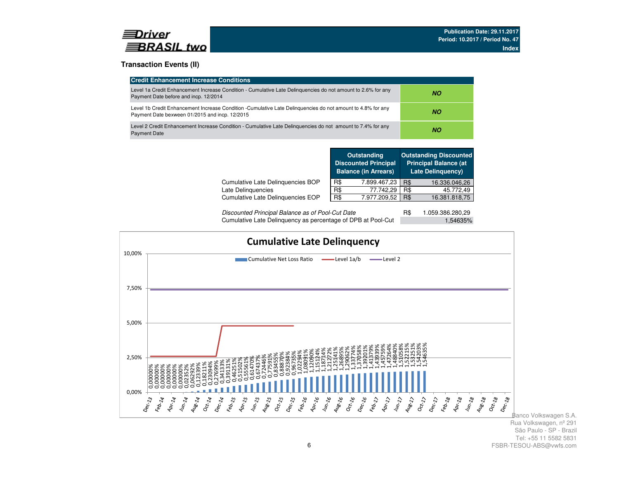

### **Transaction Events (II)**

| <b>Credit Enhancement Increase Conditions</b>                                                                                                                 |    |
|---------------------------------------------------------------------------------------------------------------------------------------------------------------|----|
| Level 1a Credit Enhancement Increase Condition - Cumulative Late Delinguencies do not amount to 2.6% for any<br>Payment Date before and incp. 12/2014         | NΟ |
| Level 1b Credit Enhancement Increase Condition -Cumulative Late Delinguencies do not amount to 4.8% for any<br>Payment Date bexween 01/2015 and incp. 12/2015 | ΝO |
| Level 2 Credit Enhancement Increase Condition - Cumulative Late Delinguencies do not amount to 7.4% for any<br><b>Payment Date</b>                            | NΟ |

|                                   |     | <b>Outstanding</b><br><b>Discounted Principal</b><br><b>Balance (in Arrears)</b> |     | <b>Outstanding Discounted</b><br><b>Principal Balance (at</b><br><b>Late Delinguency)</b> |
|-----------------------------------|-----|----------------------------------------------------------------------------------|-----|-------------------------------------------------------------------------------------------|
| Cumulative Late Delinquencies BOP | R\$ | 7.899.467,23                                                                     | R\$ | 16.336.046,26                                                                             |
| Late Delinquencies                | R\$ | 77.742.29                                                                        | R\$ | 45.772.49                                                                                 |
| Cumulative Late Delinguencies EOP | R\$ | 7.977.209,52                                                                     | R\$ | 16.381.818,75                                                                             |
|                                   |     |                                                                                  |     |                                                                                           |

| Discounted Principal Balance as of Pool-Cut Date             | 1.059.386.280,29 |  |
|--------------------------------------------------------------|------------------|--|
| Cumulative Late Delinquency as percentage of DPB at Pool-Cut | 1.54635%         |  |

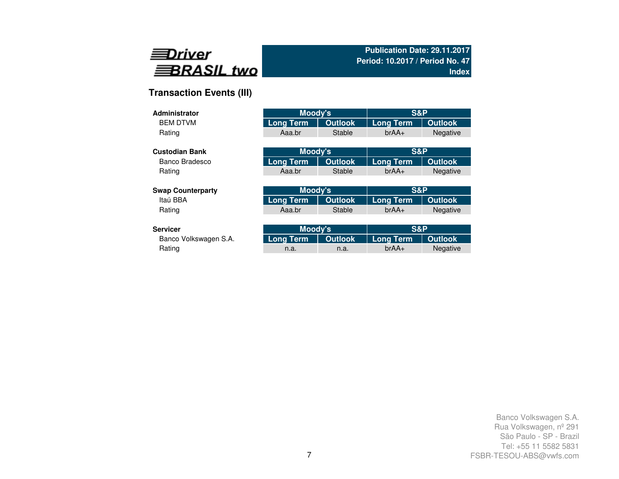

# **Transaction Events (III)**

| <b>Administrator</b>     | Moody's          |                | S&P              |                 |
|--------------------------|------------------|----------------|------------------|-----------------|
| <b>BFM DTVM</b>          | <b>Long Term</b> | <b>Outlook</b> | <b>Long Term</b> | <b>Outlook</b>  |
| Rating                   | Aaa.br           | Stable         | $brAA+$          | <b>Negative</b> |
|                          |                  |                |                  |                 |
| <b>Custodian Bank</b>    | Moody's          |                | S&P              |                 |
| Banco Bradesco           | <b>Long Term</b> | <b>Outlook</b> | <b>Long Term</b> | <b>Outlook</b>  |
| Rating                   | Aaa.br           | Stable         | $brAA+$          | <b>Negative</b> |
|                          |                  |                |                  |                 |
| <b>Swap Counterparty</b> | Moody's          |                | S&P              |                 |
| Itaú BBA                 | <b>Long Term</b> | <b>Outlook</b> | <b>Long Term</b> | <b>Outlook</b>  |
| Rating                   | Aaa.br           | Stable         | $brAA+$          | <b>Negative</b> |
|                          |                  |                |                  |                 |
| <b>Servicer</b>          | Moody's          |                | S&P              |                 |
| Banco Volkswagen S.A.    | <b>Long Term</b> | <b>Outlook</b> | <b>Long Term</b> | <b>Outlook</b>  |
|                          |                  |                |                  |                 |

Rating and the metal of the metal of the metal of the metal of the metal of the metal of the metal of the metal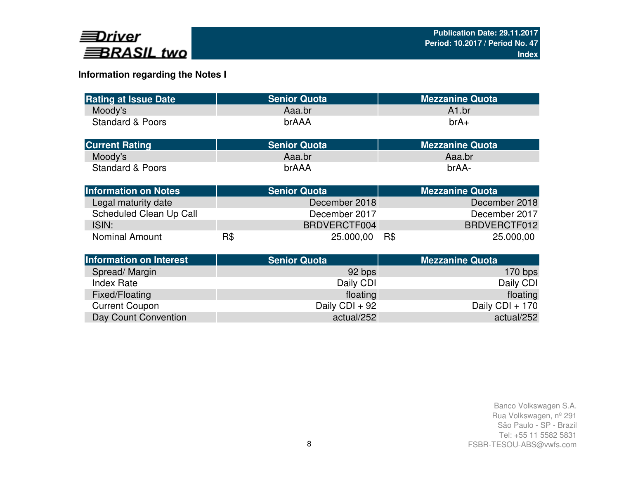

# **Information regarding the Notes I**

| <b>Rating at Issue Date</b>    |     | <b>Senior Quota</b> |        | <b>Mezzanine Quota</b> |
|--------------------------------|-----|---------------------|--------|------------------------|
| Moody's                        |     | Aaa.br              |        | A <sub>1.br</sub>      |
| <b>Standard &amp; Poors</b>    |     | brAAA               | $brA+$ |                        |
| <b>Current Rating</b>          |     | <b>Senior Quota</b> |        | <b>Mezzanine Quota</b> |
| Moody's                        |     | Aaa.br              |        | Aaa.br                 |
| <b>Standard &amp; Poors</b>    |     | brAAA               |        | brAA-                  |
| <b>Information on Notes</b>    |     | <b>Senior Quota</b> |        | <b>Mezzanine Quota</b> |
| Legal maturity date            |     | December 2018       |        | December 2018          |
| Scheduled Clean Up Call        |     | December 2017       |        | December 2017          |
| ISIN:                          |     | BRDVERCTF004        |        | BRDVERCTF012           |
| <b>Nominal Amount</b>          | R\$ | 25.000,00           | R\$    | 25.000,00              |
| <b>Information on Interest</b> |     | <b>Senior Quota</b> |        | <b>Mezzanine Quota</b> |
| Spread/Margin                  |     | 92 bps              |        | 170 bps                |
| <b>Index Rate</b>              |     | Daily CDI           |        | Daily CDI              |
| Fixed/Floating                 |     | floating            |        | floating               |
| <b>Current Coupon</b>          |     | Daily CDI + 92      |        | Daily CDI + 170        |
| Day Count Convention           |     | actual/252          |        | actual/252             |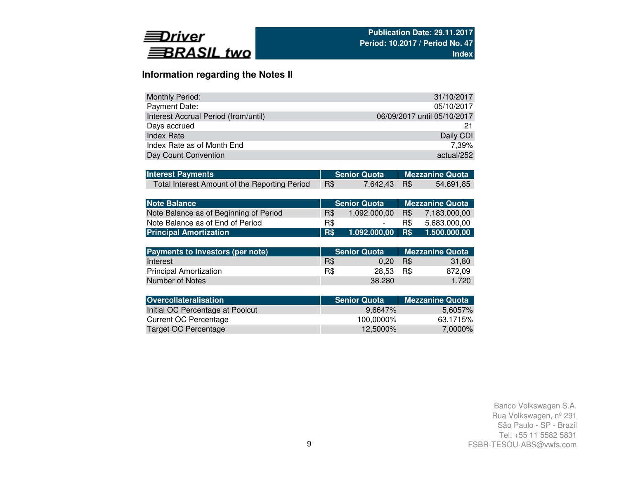

# **Information regarding the Notes II**

| <b>Monthly Period:</b>               | 31/10/2017                  |
|--------------------------------------|-----------------------------|
| Payment Date:                        | 05/10/2017                  |
| Interest Accrual Period (from/until) | 06/09/2017 until 05/10/2017 |
| Days accrued                         |                             |
| <b>Index Rate</b>                    | Daily CDI                   |
| Index Rate as of Month End           | 7.39%                       |
| Day Count Convention                 | actual/252                  |

| <b>Interest Payments</b>                      |            | Senior Quota   Mezzanine Quota |  |           |  |
|-----------------------------------------------|------------|--------------------------------|--|-----------|--|
| Total Interest Amount of the Reporting Period | <b>R\$</b> | 7.642.43 R\$                   |  | 54.691.85 |  |

| Note Balance                           |       | <b>Senior Quota</b>      | Mezzanine Quota |              |  |  |  |  |
|----------------------------------------|-------|--------------------------|-----------------|--------------|--|--|--|--|
| Note Balance as of Beginning of Period | R\$   | 1.092.000.00             | R\$             | 7.183.000.00 |  |  |  |  |
| Note Balance as of End of Period       | R\$   | $\overline{\phantom{a}}$ | R\$             | 5.683.000.00 |  |  |  |  |
| <b>Principal Amortization</b>          | l R\$ | $1.092.000.00$ R\$       |                 | 1.500.000.00 |  |  |  |  |

| Payments to Investors (per note) |     | <b>Senior Quota</b> | <b>Mezzanine Quota</b> |        |  |  |  |
|----------------------------------|-----|---------------------|------------------------|--------|--|--|--|
| Interest                         | R\$ | 0.20                | R\$                    | 31.80  |  |  |  |
| <b>Principal Amortization</b>    | R\$ | 28.53 R\$           |                        | 872.09 |  |  |  |
| Number of Notes                  |     | 38.280              |                        | 1.720  |  |  |  |

| <b>Overcollateralisation</b>     | <b>Senior Quota</b> | Mezzanine Quota |
|----------------------------------|---------------------|-----------------|
| Initial OC Percentage at Poolcut | 9.6647%             | 5,6057%         |
| Current OC Percentage            | 100.0000%           | 63.1715%        |
| Target OC Percentage             | 12.5000%            | 7,0000%         |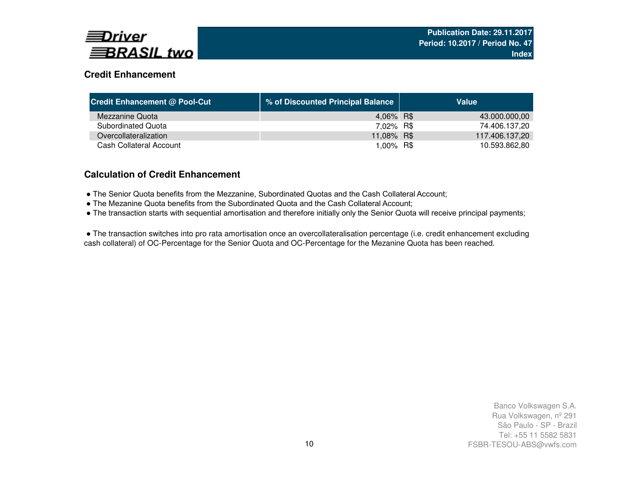

# **Credit Enhancement**

| <b>Credit Enhancement @ Pool-Cut</b> | % of Discounted Principal Balance | Value                |
|--------------------------------------|-----------------------------------|----------------------|
| Mezzanine Quota                      | 4,06% R\$                         | 43.000.000,00        |
| Subordinated Quota                   | 7,02%                             | R\$<br>74.406.137,20 |
| Overcollateralization                | 11,08% R\$                        | 117.406.137,20       |
| Cash Collateral Account              | 1,00% R\$                         | 10.593.862.80        |

### **Calculation of Credit Enhancement**

- The Senior Quota benefits from the Mezzanine, Subordinated Quotas and the Cash Collateral Account;
- The Mezanine Quota benefits from the Subordinated Quota and the Cash Collateral Account;
- The transaction starts with sequential amortisation and therefore initially only the Senior Quota will receive principal payments;

● The transaction switches into pro rata amortisation once an overcollateralisation percentage (i.e. credit enhancement excluding cash collateral) of OC-Percentage for the Senior Quota and OC-Percentage for the Mezanine Quota has been reached.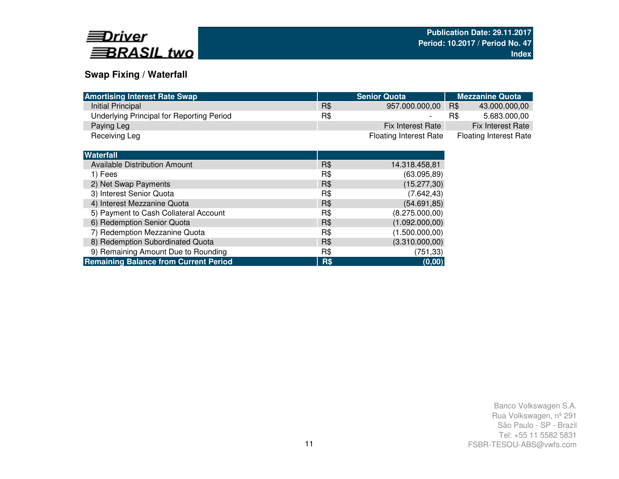

### **Swap Fixing / Waterfall**

8) Redemption Subordinated Quota

9) Remaining Amount Due to Rounding

**Remaining Balance from Current Period**

| <b>Amortising Interest Rate Swap</b>      |     | <b>Senior Quota</b>           |     | <b>Mezzanine Quota</b>        |
|-------------------------------------------|-----|-------------------------------|-----|-------------------------------|
| Initial Principal                         | R\$ | 957.000.000,00                | R\$ | 43.000.000,00                 |
| Underlying Principal for Reporting Period | R\$ |                               | R\$ | 5.683.000,00                  |
| Paying Leg                                |     | <b>Fix Interest Rate</b>      |     | <b>Fix Interest Rate</b>      |
| Receiving Leg                             |     | <b>Floating Interest Rate</b> |     | <b>Floating Interest Rate</b> |
|                                           |     |                               |     |                               |
| Waterfall                                 |     |                               |     |                               |
| Available Distribution Amount             | R\$ | 14.318.458,81                 |     |                               |
| 1) Fees                                   | R\$ | (63.095, 89)                  |     |                               |
| 2) Net Swap Payments                      | R\$ | (15.277, 30)                  |     |                               |
| 3) Interest Senior Quota                  | R\$ | (7.642, 43)                   |     |                               |
| 4) Interest Mezzanine Quota               | R\$ | (54.691, 85)                  |     |                               |
| 5) Payment to Cash Collateral Account     | R\$ | (8.275.000,00)                |     |                               |
| 6) Redemption Senior Quota                | R\$ | (1.092.000, 00)               |     |                               |
| 7) Redemption Mezzanine Quota             | R\$ | (1.500.000,00)                |     |                               |

R\$ (1.500.000,00)<br>R\$ (3.310.000,00)

R\$ (3.310.000,00)<br>R\$ (751,33)

R\$ (751,33)<br>R\$ (0,00)

**d** (0,00)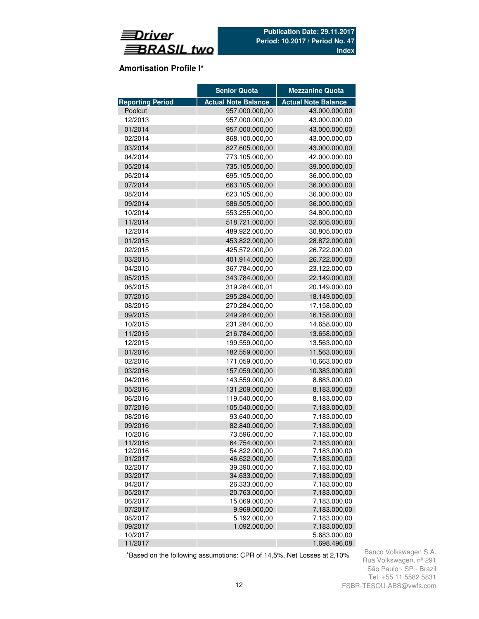

### **Amortisation Profile I\***

|                         | <b>Senior Quota</b>        | <b>Mezzanine Quota</b>       |
|-------------------------|----------------------------|------------------------------|
| <b>Reporting Period</b> | <b>Actual Note Balance</b> | <b>Actual Note Balance</b>   |
| Poolcut                 | 957.000.000,00             | 43.000.000,00                |
| 12/2013                 | 957.000.000,00             | 43.000.000,00                |
| 01/2014                 | 957.000.000,00             | 43.000.000,00                |
| 02/2014                 | 868.100.000,00             | 43.000.000,00                |
| 03/2014                 | 827.605.000,00             | 43.000.000,00                |
| 04/2014                 | 773.105.000,00             | 42.000.000,00                |
| 05/2014                 | 735.105.000,00             | 39.000.000,00                |
| 06/2014                 | 695.105.000,00             | 36.000.000,00                |
| 07/2014                 | 663.105.000,00             | 36.000.000,00                |
| 08/2014                 | 623.105.000,00             | 36.000.000,00                |
| 09/2014                 | 586.505.000,00             | 36.000.000,00                |
| 10/2014                 | 553.255.000,00             | 34.800.000,00                |
| 11/2014                 | 518.721.000,00             | 32.605.000,00                |
| 12/2014                 | 489.922.000,00             | 30.805.000,00                |
| 01/2015                 | 453.822.000,00             | 28.872.000,00                |
| 02/2015                 | 425.572.000,00             | 26.722.000,00                |
| 03/2015                 | 401.914.000,00             | 26.722.000,00                |
| 04/2015                 | 367.784.000,00             | 23.122.000,00                |
| 05/2015                 | 343.784.000,00             | 22.149.000,00                |
| 06/2015                 | 319.284.000,01             | 20.149.000,00                |
| 07/2015                 | 295.284.000,00             | 18.149.000,00                |
| 08/2015                 | 270.284.000,00             | 17.158.000,00                |
| 09/2015                 | 249.284.000,00             | 16.158.000,00                |
| 10/2015                 | 231.284.000,00             | 14.658.000,00                |
| 11/2015                 | 216.784.000,00             | 13.658.000,00                |
| 12/2015                 | 199.559.000,00             | 13.563.000,00                |
| 01/2016                 | 182.559.000,00             | 11.563.000,00                |
| 02/2016                 | 171.059.000,00             | 10.663.000,00                |
| 03/2016                 | 157.059.000,00             | 10.383.000,00                |
| 04/2016                 | 143.559.000,00             | 8.883.000,00                 |
| 05/2016                 | 131.209.000,00             | 8.183.000,00                 |
| 06/2016                 | 119.540.000,00             | 8.183.000,00                 |
| 07/2016                 | 105.540.000,00             | 7.183.000,00                 |
| 08/2016                 | 93.640.000,00              | 7.183.000,00                 |
| 09/2016                 | 82.840.000,00              | 7.183.000,00                 |
| 10/2016                 | 73.596.000,00              | 7.183.000,00                 |
| 11/2016                 | 64.754.000,00              | 7.183.000,00                 |
| 12/2016                 | 54.822.000,00              | 7.183.000,00                 |
| 01/2017                 | 46.622.000,00              | 7.183.000,00                 |
| 02/2017                 | 39.390.000,00              | 7.183.000,00                 |
| 03/2017                 | 34.633.000,00              | 7.183.000,00                 |
| 04/2017                 | 26.333.000,00              | 7.183.000,00                 |
| 05/2017                 | 20.763.000,00              | 7.183.000,00                 |
| 06/2017                 | 15.069.000,00              | 7.183.000,00                 |
| 07/2017                 | 9.969.000,00               | 7.183.000,00                 |
| 08/2017                 | 5.192.000,00               | 7.183.000,00                 |
| 09/2017<br>10/2017      | 1.092.000,00               | 7.183.000,00<br>5.683.000,00 |
| 11/2017                 |                            | 1.698.496,08                 |
|                         |                            |                              |

<sup>+</sup>Based on the following assumptions: CPR of 14,5%, Net Losses at 2,10%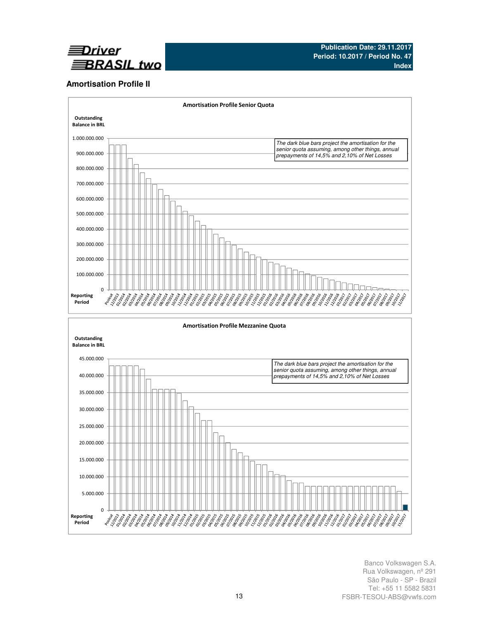

### **Amortisation Profile II**

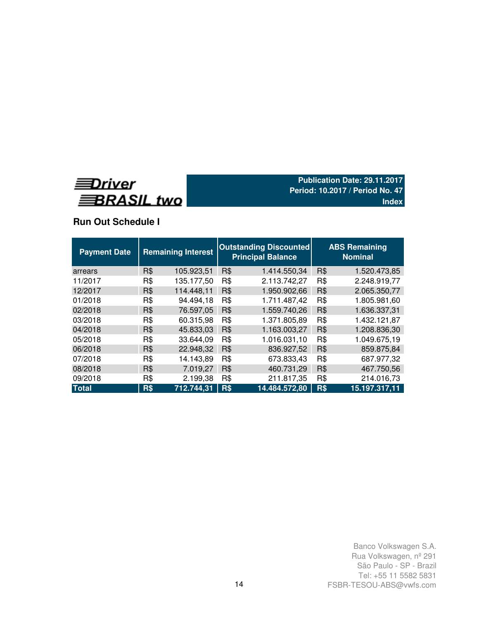

# **Run Out Schedule I**

| <b>Payment Date</b> |            | <b>Remaining Interest</b> |     | <b>Outstanding Discounted</b><br><b>Principal Balance</b> | <b>ABS Remaining</b><br><b>Nominal</b> |               |  |  |  |  |
|---------------------|------------|---------------------------|-----|-----------------------------------------------------------|----------------------------------------|---------------|--|--|--|--|
| arrears             | R\$        | 105.923,51                | R\$ | 1.414.550,34                                              | <b>R\$</b>                             | 1.520.473,85  |  |  |  |  |
| 11/2017             | R\$        | 135.177,50                | R\$ | 2.113.742,27                                              | R\$                                    | 2.248.919,77  |  |  |  |  |
| 12/2017             | R\$        | 114.448,11                | R\$ | 1.950.902,66                                              | R\$                                    | 2.065.350,77  |  |  |  |  |
| 01/2018             | R\$        | 94.494,18                 | R\$ | 1.711.487,42                                              | R\$                                    | 1.805.981.60  |  |  |  |  |
| 02/2018             | R\$        | 76.597,05                 | R\$ | 1.559.740,26                                              | R\$                                    | 1.636.337,31  |  |  |  |  |
| 03/2018             | R\$        | 60.315,98                 | R\$ | 1.371.805,89                                              | R\$                                    | 1.432.121,87  |  |  |  |  |
| 04/2018             | R\$        | 45.833,03                 | R\$ | 1.163.003,27                                              | R\$                                    | 1.208.836,30  |  |  |  |  |
| 05/2018             | R\$        | 33.644,09                 | R\$ | 1.016.031,10                                              | R\$                                    | 1.049.675.19  |  |  |  |  |
| 06/2018             | R\$        | 22.948,32                 | R\$ | 836.927,52                                                | R\$                                    | 859.875,84    |  |  |  |  |
| 07/2018             | R\$        | 14.143,89                 | R\$ | 673.833,43                                                | R\$                                    | 687.977,32    |  |  |  |  |
| 08/2018             | R\$        | 7.019,27                  | R\$ | 460.731,29                                                | R\$                                    | 467.750,56    |  |  |  |  |
| 09/2018             | R\$        | 2.199,38                  | R\$ | 211.817,35                                                | R\$                                    | 214.016,73    |  |  |  |  |
| <b>Total</b>        | <b>R\$</b> | 712.744,31                | R\$ | 14.484.572,80                                             | R\$                                    | 15.197.317,11 |  |  |  |  |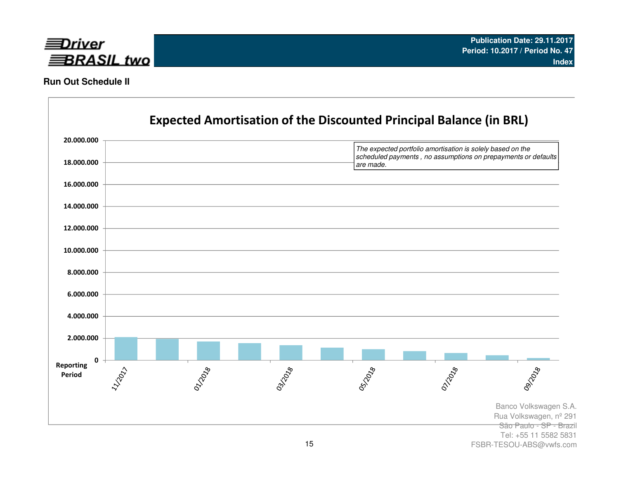

### **Run Out Schedule II**



FSBR-TESOU-ABS@vwfs.com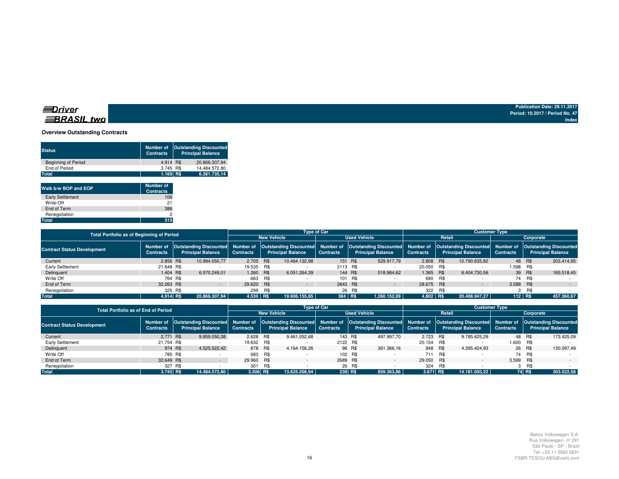#### **Overview Outstanding Contracts**

| <b>Status</b>              | Number of<br><b>Contracts</b> | <b>Outstanding Discounted</b><br><b>Principal Balance</b> |               |  |  |  |  |
|----------------------------|-------------------------------|-----------------------------------------------------------|---------------|--|--|--|--|
| <b>Beginning of Period</b> | 4.914 R\$                     |                                                           | 20.866.307.94 |  |  |  |  |
| End of Period              | 3.745 R\$                     |                                                           | 14.484.572.80 |  |  |  |  |
| <b>Total</b>               | $1.169$ RS                    |                                                           | 6.381.735,14  |  |  |  |  |

| Walk b/w BOP and EOP    | <b>Number of</b><br><b>Contracts</b> |
|-------------------------|--------------------------------------|
| <b>Early Settlement</b> | 106                                  |
| Write-Off               | 21                                   |
| End of Term             | 386                                  |
| Renegotiation           | 2                                    |
| Total                   | 515                                  |

| Total Portfolio as of Beginning of Period |                                                                                            |  |                  |                                                           |                    | <b>Type of Car</b> |                                                                                                                                        |         | <b>Customer Type</b> |                          |     |                  |                          |        |            |  |
|-------------------------------------------|--------------------------------------------------------------------------------------------|--|------------------|-----------------------------------------------------------|--------------------|--------------------|----------------------------------------------------------------------------------------------------------------------------------------|---------|----------------------|--------------------------|-----|------------------|--------------------------|--------|------------|--|
|                                           |                                                                                            |  |                  |                                                           | <b>New Vehicle</b> |                    | <b>Used Vehicle</b>                                                                                                                    |         | Retail               | Corporate                |     |                  |                          |        |            |  |
| <b>Contract Status Development</b>        | Number of Outstanding Discounted Number of<br><b>Principal Balance</b><br><b>Contracts</b> |  | <b>Contracts</b> | <b>Outstanding Discounted</b><br><b>Principal Balance</b> |                    | <b>Contracts</b>   | Number of   Outstanding Discounted  Number of   Outstanding Discounted  Number of   Outstanding Discounted<br><b>Principal Balance</b> |         | <b>Contracts</b>     | <b>Principal Balance</b> |     | <b>Contracts</b> | <b>Principal Balance</b> |        |            |  |
| Current                                   | 2.856 R\$                                                                                  |  | 10.994.050.77    | 2.705 R\$                                                 |                    | 10.464.132.98      |                                                                                                                                        | 151 R\$ | 529.917,79           | 2.808 R\$                |     | 10.790.635,82    |                          | 48 R\$ | 203.414,95 |  |
| Early Settlement                          | 21.648 R\$                                                                                 |  |                  | 19.535 R\$                                                |                    |                    | 2113 R\$                                                                                                                               |         |                      | 20.050 R\$               |     |                  | 1.598 R\$                |        |            |  |
| Delinguent                                | 1.404 R\$                                                                                  |  | 6.570.249.01     | 1.260 R\$                                                 |                    | 6.051.264,39       |                                                                                                                                        | 144 R\$ | 518.984,62           | 1.365 R\$                |     | 6.404.730.56     |                          | 39 R\$ | 165.518.45 |  |
| Write Off                                 | 764 R\$                                                                                    |  |                  | 663                                                       | R\$                |                    |                                                                                                                                        | 101 R\$ |                      | 690                      | R\$ |                  |                          | 74 R\$ |            |  |
| End of Term                               | 32.263 R\$                                                                                 |  |                  | 29.620 R\$                                                |                    | $\sim$             | 2643 R\$                                                                                                                               |         | $\sim$               | 28.675 R\$               |     | $\sim$           | 3.588 R\$                |        | $\sim$     |  |
| Renegotiation                             | 325 R\$                                                                                    |  |                  | 299                                                       | R\$                |                    |                                                                                                                                        | 26 R\$  |                      | 322 R\$                  |     |                  |                          | R\$    |            |  |
| <b>Total</b>                              | 4.914 R\$                                                                                  |  | 20.866.307.94    | 4.530 R\$                                                 |                    | 19.606.155.85      | 384 R\$                                                                                                                                |         | 1.260.152.09         | 4.802 R\$                |     | 20.408.947.27    | $112$ R\$                |        | 457.360,67 |  |

| <b>Total Portfolio as of End of Period</b> |                               |                          |               |                                                                                                                                                                                                            |                    |                  | <b>Type of Car</b>       |         |                  | <b>Customer Type</b>     |         |                  |                          |        |            |  |  |
|--------------------------------------------|-------------------------------|--------------------------|---------------|------------------------------------------------------------------------------------------------------------------------------------------------------------------------------------------------------------|--------------------|------------------|--------------------------|---------|------------------|--------------------------|---------|------------------|--------------------------|--------|------------|--|--|
|                                            |                               |                          |               |                                                                                                                                                                                                            | <b>New Vehicle</b> |                  | <b>Used Vehicle</b>      |         | Retail           | Corporate                |         |                  |                          |        |            |  |  |
| <b>Contract Status Development</b>         | Number of<br><b>Contracts</b> | <b>Principal Balance</b> |               | Outstanding Discounted Number of Outstanding Discounted Number of Outstanding Discounted Number of Outstanding Discounted Number of Outstanding Discounted<br><b>Principal Balance</b><br><b>Contracts</b> |                    | <b>Contracts</b> | <b>Principal Balance</b> |         | <b>Contracts</b> | <b>Principal Balance</b> |         | <b>Contracts</b> | <b>Principal Balance</b> |        |            |  |  |
| Current                                    | 2.771 R\$                     |                          | 9.959.050,38  | 2.628 R\$                                                                                                                                                                                                  |                    | 9.461.052.68     |                          | 143 R\$ | 497.997.70       | 2.723 R\$                |         | 9.785.625.29     |                          | 48 R\$ | 173.425.09 |  |  |
| Early Settlement                           | 21.754 R\$                    |                          |               | 19.632 R\$                                                                                                                                                                                                 |                    |                  | 2122 R\$                 |         |                  | 20.154 R\$               |         |                  | 1.600 R\$                |        |            |  |  |
| Delinquent                                 | 974 R\$                       |                          | 4.525.522,42  | 878 R\$                                                                                                                                                                                                    |                    | 4.164.156.26     |                          | 96 R\$  | 361.366.16       | 948 R\$                  |         | 4.395.424.93     |                          | 26 R\$ | 130.097.49 |  |  |
| Write Off                                  |                               | 785 R\$                  |               |                                                                                                                                                                                                            | 683 R\$            |                  |                          | 102 R\$ |                  |                          | 711 R\$ |                  |                          | 74 R\$ |            |  |  |
| End of Term                                | 32.649 R\$                    |                          |               | 29.960 R\$                                                                                                                                                                                                 |                    |                  | 2689 R\$                 |         |                  | 29.050 R\$               |         |                  | 3.599 R\$                |        |            |  |  |
| Renegotiation                              | 327 R\$                       |                          |               | 301                                                                                                                                                                                                        | R\$                |                  |                          | 26 R\$  |                  | 324 R\$                  |         |                  |                          | R\$    |            |  |  |
| <b>Total</b>                               | $3.745$ RS                    |                          | 14.484.572.80 | 3.506 R\$                                                                                                                                                                                                  |                    | 13.625.208.94    |                          | 239 R\$ | 859.363.86       | 3.671 R\$                |         | 14.181.050.22    |                          | 74 R\$ | 303.522,58 |  |  |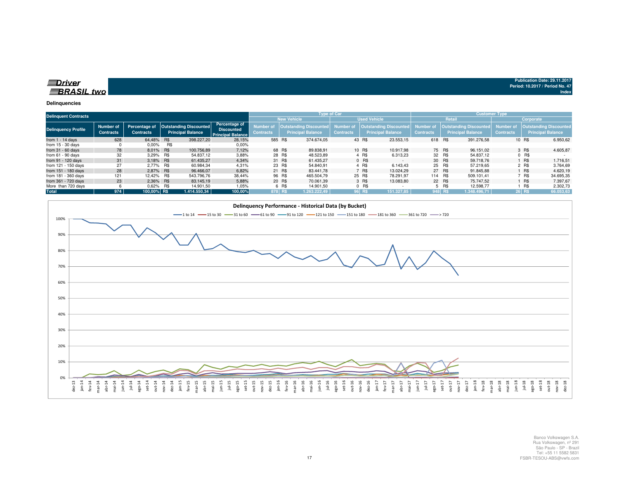

#### **Delinquencies**

| <b>Delinquent Contracts</b> |                                      |                                   |     |                                                           |                                                                       |                               |                    | <b>Type of Car</b>                                 |                               |        |                                                    | <b>Customer Type</b>                 |        |                                                            |                                      |                  |                                                     |
|-----------------------------|--------------------------------------|-----------------------------------|-----|-----------------------------------------------------------|-----------------------------------------------------------------------|-------------------------------|--------------------|----------------------------------------------------|-------------------------------|--------|----------------------------------------------------|--------------------------------------|--------|------------------------------------------------------------|--------------------------------------|------------------|-----------------------------------------------------|
|                             |                                      |                                   |     |                                                           |                                                                       |                               | <b>New Vehicle</b> |                                                    | <b>Used Vehicle</b>           |        | <b>Retail</b>                                      | Corporate                            |        |                                                            |                                      |                  |                                                     |
| <b>Delinquency Profile</b>  | <b>Number of</b><br><b>Contracts</b> | Percentage of<br><b>Contracts</b> |     | <b>Outstanding Discounted</b><br><b>Principal Balance</b> | <b>Percentage of</b><br><b>Discounted</b><br><b>Principal Balance</b> | Number of<br><b>Contracts</b> |                    | Outstanding Discounted<br><b>Principal Balance</b> | Number of<br><b>Contracts</b> |        | Outstanding Discounted<br><b>Principal Balance</b> | <b>Number of</b><br><b>Contracts</b> |        | <b>Outstanding Discounted,</b><br><b>Principal Balance</b> | <b>Number of</b><br><b>Contracts</b> |                  | Outstanding Discounted,<br><b>Principal Balance</b> |
| from $1 - 14$ days          | 628                                  | 64,48% R\$                        |     | 398,227,20                                                | 28,15%                                                                | 585 R\$                       |                    | 374.674.05                                         |                               | 43 R\$ | 23.553,15                                          | 618 R\$                              |        | 391.276,58                                                 |                                      | 10 R\$           | 6.950,62                                            |
| from $15 - 30$ days         |                                      | $0.00\%$                          | R\$ |                                                           | $0.00\%$                                                              |                               |                    |                                                    |                               |        |                                                    |                                      |        |                                                            |                                      |                  |                                                     |
| from $31 - 60$ days         | 78                                   | 8,01% R\$                         |     | 100.756,89                                                | 7,12%                                                                 |                               | 68 R\$             | 89.838.91                                          |                               | 10 R\$ | 10.917.98                                          |                                      | 75 R\$ | 96.151.02                                                  |                                      | 3 R\$            | 4.605,87                                            |
| from $61 - 90$ days         | 32                                   | 3.29% R\$                         |     | 54.837.12                                                 | 3,88%                                                                 |                               | 28 R\$             | 48.523.89                                          |                               | 4 R\$  | 6.313,23                                           |                                      | 32 R\$ | 54.837.12                                                  |                                      | $0$ R\$          |                                                     |
| from 91 - 120 days          | 31                                   | 3.18% R\$                         |     | 61.435.27                                                 | 4.34%                                                                 |                               | 31 R\$             | 61.435.27                                          |                               | 0 R\$  | $\sim$                                             |                                      | 30 R\$ | 59.718.76                                                  |                                      | 1 R\$            | 1.716,51                                            |
| from 121 - 150 days         | 27                                   | 2.77% R\$                         |     | 60.984.34                                                 | 4.31%                                                                 |                               | 23 R\$             | 54.840.91                                          |                               | 4 R\$  | 6.143.43                                           |                                      | 25 R\$ | 57.219.65                                                  |                                      | 2 R\$            | 3.764.69                                            |
| from 151 - 180 days         | 28                                   | 2.87% R\$                         |     | 96.466,07                                                 | 6,82%                                                                 |                               | 21 R\$             | 83.441.78                                          |                               | 7 R\$  | 13.024.29                                          |                                      | 27 R\$ | 91.845.88                                                  |                                      | $\mathsf{R}$     | 4.620,19                                            |
| from 181 - 360 days         | 121                                  | 12.42% R\$                        |     | 543.796,76                                                | 38,44%                                                                |                               | 96 R\$             | 465.504,79                                         |                               | 25 R\$ | 78.291.97                                          | 114 R\$                              |        | 509.101.41                                                 |                                      | <sup>7</sup> R\$ | 34.695,35                                           |
| from 361 - 720 days         | 23                                   | 2,36% R\$                         |     | 83.145,19                                                 | 5,88%                                                                 |                               | 20 R\$             | 70.061.39                                          |                               | 3 R\$  | 13.083.80                                          |                                      | 22 R\$ | 75.747.52                                                  |                                      | <b>R\$</b>       | 7.397.67                                            |
| More than 720 days          |                                      | 0.62% R\$                         |     | 14.901.50                                                 | 1,05%                                                                 |                               | 6 R\$              | 14.901.50                                          |                               | 0 R\$  | . .                                                | $5 -$                                | R\$    | 12.598.77                                                  |                                      | R\$              | 2.302,73                                            |
| <b>Total</b>                | 974                                  | 100.00% R\$                       |     | 1.414.550.34                                              | 100,00%                                                               | 878 R\$                       |                    | 1.263.222.49                                       |                               | 96 R\$ | 151.327.85                                         | 948 R\$                              |        | 1.348.496.71                                               |                                      | 26 R\$           | 66.053,63                                           |

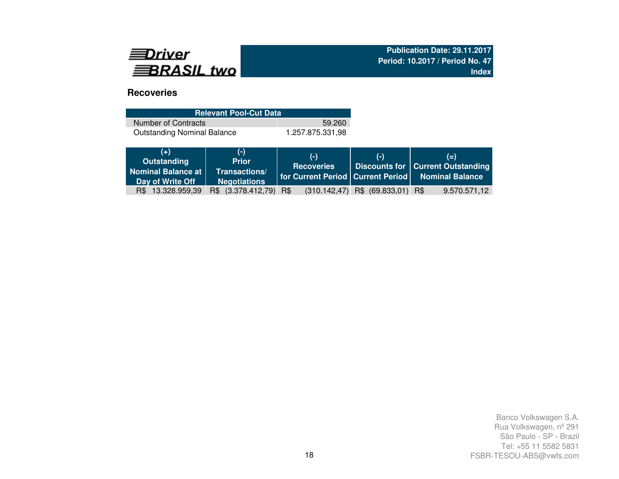

# **Recoveries**

| <b>Relevant Pool-Cut Data</b>      |                  |  |  |  |  |  |  |  |  |  |
|------------------------------------|------------------|--|--|--|--|--|--|--|--|--|
| Number of Contracts                | 59.260           |  |  |  |  |  |  |  |  |  |
| <b>Outstanding Nominal Balance</b> | 1.257.875.331.98 |  |  |  |  |  |  |  |  |  |

| $(-)$<br>$(-)$<br>$(=)$<br>Outstanding<br><b>Prior</b><br><b>Discounts for   Current Outstanding</b><br><b>Recoveries</b><br>Nominal Balance at<br>Transactions/<br>  for Current Period   Current Period   Nominal Balance<br>Day of Write Off<br><b>Negotiations</b> |              |
|------------------------------------------------------------------------------------------------------------------------------------------------------------------------------------------------------------------------------------------------------------------------|--------------|
| R\$ (3.378.412,79) R\$<br>$(310.142, 47)$ R\$ $(69.833, 01)$ R\$<br>R\$ 13.328.959,39                                                                                                                                                                                  | 9.570.571,12 |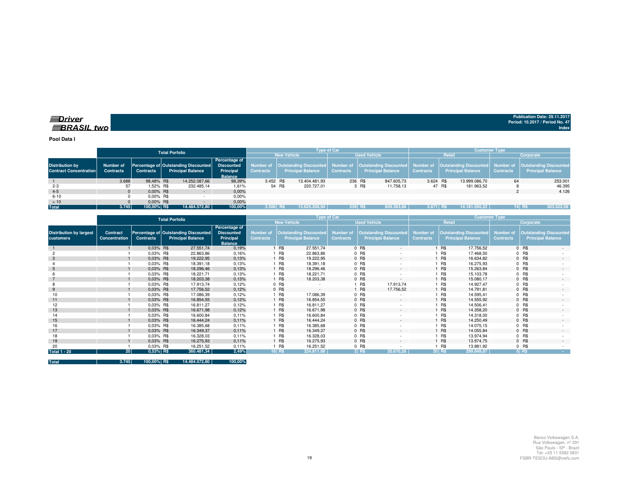**Pool Data I**

|                                                         |                               |                  | Total Porfolio |                                                                  |                                                                          |            |        |                          | <b>Type of Car</b>  |         |                          | <b>Customer Type</b> |        |                          |                  |                                                                                                                                                                        |  |
|---------------------------------------------------------|-------------------------------|------------------|----------------|------------------------------------------------------------------|--------------------------------------------------------------------------|------------|--------|--------------------------|---------------------|---------|--------------------------|----------------------|--------|--------------------------|------------------|------------------------------------------------------------------------------------------------------------------------------------------------------------------------|--|
|                                                         |                               |                  |                |                                                                  |                                                                          |            |        | <b>New Vehicle</b>       | <b>Used Vehicle</b> |         |                          | Retail               |        |                          | Corporate        |                                                                                                                                                                        |  |
| <b>Distribution by</b><br><b>Contract Concentration</b> | Number of<br><b>Contracts</b> | <b>Contracts</b> |                | Percentage of Outstanding Discounted<br><b>Principal Balance</b> | <b>Percentage of</b><br><b>Discounted</b><br>Principal<br><b>Balance</b> | Contracts  |        | <b>Principal Balance</b> | <b>Contracts</b>    |         | <b>Principal Balance</b> | <b>Contracts</b>     |        | <b>Principal Balance</b> | <b>Contracts</b> | Number of  Outstanding Discounted  Number of  Outstanding Discounted  Number of  Outstanding Discounted  Number of  Outstanding Discounted<br><b>Principal Balance</b> |  |
|                                                         | 3.688                         | 98.48% R\$       |                | 14.252.087.66                                                    | 98.39%                                                                   | 3.452 R\$  |        | 13.404.481.93            |                     | 236 R\$ | 847.605.73               | 3.624 R\$            |        | 13.999.086.70            | 64               | 253.001                                                                                                                                                                |  |
| $2 - 3$                                                 |                               | 1.52% R\$        |                | 232.485,14                                                       | 1,61%                                                                    |            | 54 R\$ | 220.727.01               |                     | 3 R\$   | 11.758.13                |                      | 47 R\$ | 181.963,52               |                  | 46.395                                                                                                                                                                 |  |
| $4 - 5$                                                 |                               | $0.00\%$ R\$     |                | $\sim$                                                           | 0,00%                                                                    |            |        |                          |                     |         |                          |                      |        |                          |                  | 4.126                                                                                                                                                                  |  |
| $6 - 10$                                                |                               | $0.00\%$ R\$     |                |                                                                  | 0,00%                                                                    |            |        |                          |                     |         |                          |                      |        |                          |                  |                                                                                                                                                                        |  |
| >10                                                     |                               | $0.00\%$ R\$     |                |                                                                  | 0,00%                                                                    |            |        |                          |                     |         |                          |                      |        |                          |                  |                                                                                                                                                                        |  |
| <b>Total</b>                                            | 3.745                         | 100.00% R\$      |                | 14.484.572.80                                                    | 100,00%                                                                  | $3.506$ RS |        | 13.625.208.94            |                     | 239 RS  | 859.363.86               | $3.671$ RS           |        | 14.181.050.22            |                  | <b>74 RS</b><br>303.522,58                                                                                                                                             |  |

|                                                    |                                  |                  | <b>Total Porfolio</b>                                            |                                                                   | <b>Type of Car</b>            |            |                                                    |                                      |         |                                                           |                                      | <b>Customer Type</b> |                                                           |                               |           |                                                           |
|----------------------------------------------------|----------------------------------|------------------|------------------------------------------------------------------|-------------------------------------------------------------------|-------------------------------|------------|----------------------------------------------------|--------------------------------------|---------|-----------------------------------------------------------|--------------------------------------|----------------------|-----------------------------------------------------------|-------------------------------|-----------|-----------------------------------------------------------|
|                                                    |                                  |                  |                                                                  |                                                                   |                               |            | <b>New Vehicle</b>                                 |                                      |         | <b>Used Vehicle</b>                                       |                                      | Retail               |                                                           |                               | Corporate |                                                           |
| <b>Distribution by largest</b><br><b>customers</b> | Contract<br><b>Concentration</b> | <b>Contracts</b> | Percentage of Outstanding Discounted<br><b>Principal Balance</b> | Percentage of<br><b>Discounted</b><br>Principal<br><b>Balance</b> | Number of<br><b>Contracts</b> |            | <b>Outstanding Discounted</b><br>Principal Balance | <b>Number of</b><br><b>Contracts</b> |         | <b>Outstanding Discounted</b><br><b>Principal Balance</b> | <b>Number of</b><br><b>Contracts</b> |                      | <b>Outstanding Discounted</b><br><b>Principal Balance</b> | Number of<br><b>Contracts</b> |           | <b>Outstanding Discounted</b><br><b>Principal Balance</b> |
|                                                    |                                  | 0.03% R\$        | 27.551,74                                                        | 0,19%                                                             |                               | <b>R\$</b> | 27.551,74                                          |                                      | 0 R\$   | $\sim$                                                    |                                      | R\$                  | 17.756,52                                                 |                               | 0 R\$     |                                                           |
|                                                    |                                  | 0.03% R\$        | 22.863,86                                                        | 0.16%                                                             |                               | R\$        | 22.863,86                                          |                                      | $0$ R\$ |                                                           |                                      | R\$                  | 17.468,50                                                 |                               | $0$ R\$   |                                                           |
| 3                                                  |                                  | 0.03% R\$        | 19.222,95                                                        | 0,13%                                                             |                               | <b>R\$</b> | 19.222,95                                          |                                      | $0$ R\$ | $\sim$                                                    |                                      | R\$                  | 16.634,82                                                 |                               | 0 R\$     |                                                           |
|                                                    |                                  | 0.03% R\$        | 18.391,18                                                        | 0,13%                                                             |                               | 1 R\$      | 18.391,18                                          |                                      | 0 R\$   |                                                           |                                      | R\$                  | 16.275,93                                                 |                               | 0 R\$     |                                                           |
| 5                                                  |                                  | 0.03% R\$        | 18.296,46                                                        | 0,13%                                                             |                               | <b>R\$</b> | 18.296,46                                          |                                      | 0 R\$   | $\sim$                                                    |                                      | R\$                  | 15.263,84                                                 |                               | $0$ R\$   | $\sim$                                                    |
|                                                    |                                  | 0.03% R\$        | 18.221,71                                                        | 0,13%                                                             |                               | <b>R\$</b> | 18.221,71                                          |                                      | $0$ R\$ | $\overline{\phantom{a}}$                                  |                                      | R\$                  | 15.103,78                                                 |                               | $0$ R\$   |                                                           |
|                                                    |                                  | 0.03% R\$        | 18.203,38                                                        | 0,13%                                                             |                               | <b>R\$</b> | 18.203,38                                          |                                      | 0 R\$   | $\sim$                                                    |                                      | R\$                  | 15.080,17                                                 |                               | $0$ R\$   | $\sim$                                                    |
|                                                    |                                  | 0.03% R\$        | 17.913,74                                                        | 0,12%                                                             |                               | $0$ R\$    |                                                    |                                      | R\$     | 17.913,74                                                 |                                      | R\$                  | 14.927,47                                                 |                               | $0$ R\$   |                                                           |
| 9                                                  |                                  | 0.03% R\$        | 17.756,52                                                        | 0,12%                                                             |                               | $0$ R\$    | $\sim$                                             |                                      | R\$     | 17.756,52                                                 |                                      | R\$                  | 14.791,81                                                 |                               | 0 R\$     | $\sim$                                                    |
| 10                                                 |                                  | 0.03% R\$        | 17.086,39                                                        | 0,12%                                                             |                               | R\$        | 17.086,39                                          |                                      | $0$ R\$ |                                                           |                                      | R\$                  | 14.595,41                                                 |                               | $0$ R\$   |                                                           |
| 11                                                 |                                  | 0.03% R\$        | 16.854,55                                                        | 0,12%                                                             |                               | <b>R\$</b> | 16.854,55                                          |                                      | 0 R\$   | $\sim$                                                    |                                      | R\$                  | 14.555,92                                                 |                               | $0$ R\$   | $\overline{a}$                                            |
| 12                                                 |                                  | 0.03% R\$        | 16.811,27                                                        | 0,12%                                                             |                               | R\$        | 16.811,27                                          |                                      | 0 R\$   | ٠                                                         |                                      | R\$                  | 14.506,41                                                 |                               | $0$ R\$   |                                                           |
| 13                                                 |                                  | 0.03% R\$        | 16.671,98                                                        | 0,12%                                                             |                               | <b>R\$</b> | 16.671,98                                          |                                      | 0 R\$   | $\sim$                                                    |                                      | R\$                  | 14.358,20                                                 |                               | $0$ R\$   | $\sim$                                                    |
| 14                                                 |                                  | 0,03% R\$        | 16.600,84                                                        | 0,11%                                                             |                               | R\$        | 16.600,84                                          |                                      | $0$ R\$ |                                                           |                                      | R\$                  | 14.318,00                                                 |                               | $0$ R\$   |                                                           |
| 15                                                 |                                  | 0.03% R\$        | 16.444,24                                                        | 0,11%                                                             |                               | <b>R\$</b> | 16.444.24                                          |                                      | 0 R\$   | $\sim$                                                    |                                      | R\$                  | 14.250,49                                                 |                               | $0$ R\$   | $\overline{a}$                                            |
| 16                                                 |                                  | 0.03% R\$        | 16.385,68                                                        | 0,11%                                                             |                               | R\$        | 16.385,68                                          |                                      | 0 R\$   | $\overline{\phantom{a}}$                                  |                                      | R\$                  | 14.075,15                                                 |                               | $0$ R\$   |                                                           |
| 17                                                 |                                  | 0.03% R\$        | 16.349,37                                                        | 0,11%                                                             |                               | <b>R\$</b> | 16.349,37                                          |                                      | 0 R\$   | $\sim$                                                    |                                      | R\$                  | 14.055,84                                                 |                               | $0$ R\$   |                                                           |
| 18                                                 |                                  | 0.03% R\$        | 16.328,03                                                        | 0,11%                                                             |                               | <b>R\$</b> | 16.328,03                                          |                                      | 0 R\$   |                                                           |                                      | R\$                  | 13.974.94                                                 |                               | $0$ R\$   |                                                           |
| 19                                                 |                                  | 0.03% R\$        | 16.275,93                                                        | 0,11%                                                             |                               | <b>R\$</b> | 16.275.93                                          |                                      | 0 R\$   | $\sim$                                                    |                                      | R\$                  | 13.974,75                                                 |                               | 0 R\$     | $\sim$                                                    |
| 20                                                 |                                  | 0.03% R\$        | 16.251,52                                                        | 0,11%                                                             |                               | R\$        | 16.251,52                                          |                                      | $0$ R\$ |                                                           |                                      | R\$                  | 13.881,92                                                 |                               | $0$ R\$   |                                                           |
| <b>Total 1 - 20</b>                                | 20 <sup>1</sup>                  | 0,53% R\$        | 360.481,34                                                       | 2,49%                                                             |                               | 18 R\$     | 324.811,08                                         |                                      | $2$ R\$ | 35.670,26                                                 |                                      | $20$ R\$             | 299.849,87                                                |                               | $0$ RS    | <b>Contract</b>                                           |

**Total 3.745 100,00% R\$ 14.484.572,80 100,00%**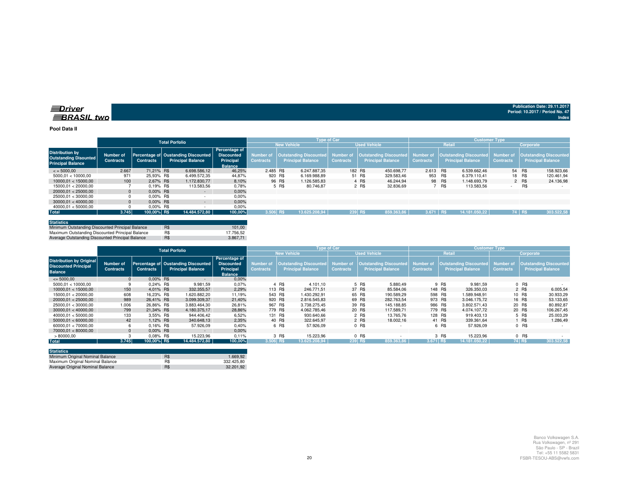$\equiv$ Driver **BRASIL** two

**Publication Date: 29.11.2017Period: 10.2017 / Period No. 47 Index**

#### **Pool Data II**

|                                                                                    |                               |                  | <b>Total Porfolio</b>                                           |                                                                          |                                      |                                                           | <b>Type of Car</b>            |                          | <b>Customer Type</b> |                                                                                                                              |                  |                          |  |  |
|------------------------------------------------------------------------------------|-------------------------------|------------------|-----------------------------------------------------------------|--------------------------------------------------------------------------|--------------------------------------|-----------------------------------------------------------|-------------------------------|--------------------------|----------------------|------------------------------------------------------------------------------------------------------------------------------|------------------|--------------------------|--|--|
|                                                                                    |                               |                  |                                                                 |                                                                          |                                      | <b>New Vehicle</b>                                        |                               | <b>Used Vehicle</b>      |                      | Retail                                                                                                                       | Corporate        |                          |  |  |
| <b>Distribution by</b><br><b>Outstanding Disounted</b><br><b>Principal Balance</b> | Number of<br><b>Contracts</b> | <b>Contracts</b> | Percentage of Oustanding Discounted<br><b>Principal Balance</b> | <b>Percentage of</b><br><b>Discounted</b><br>Principal<br><b>Balance</b> | <b>Number of</b><br><b>Contracts</b> | <b>Outstanding Discounted</b><br><b>Principal Balance</b> | Number of<br><b>Contracts</b> | <b>Principal Balance</b> | <b>Contracts</b>     | Outstanding Discounted   Number of   Outstanding Discounted   Number of   Outstanding Discounted<br><b>Principal Balance</b> | <b>Contracts</b> | <b>Principal Balance</b> |  |  |
| $\leq$ = 5000.00                                                                   | 2.667                         | 71.21% R\$       | 6.698.586.12                                                    | 46.25%                                                                   | 2.485 R\$                            | 6.247.887.35                                              |                               | 182 R\$<br>450.698.77    | 2.613 R\$            | 6.539.662.46                                                                                                                 |                  | 54 R\$<br>158,923.66     |  |  |
| 5000.01 < 10000.00                                                                 | 971                           | 25.93% R\$       | 6.499.572.35                                                    | 44.87%                                                                   | 920 R\$                              | 6.169.988.89                                              |                               | 51 R\$<br>329.583.46     | 953 R\$              | 6.379.110.41                                                                                                                 |                  | 18 R\$<br>120.461.94     |  |  |
| 10000.01 < 15000.00                                                                | 100                           | 2.67% R\$        | 1.172.830.77                                                    | 8.10%                                                                    |                                      | 96 R\$<br>1.126.585.83                                    |                               | 4 R\$<br>46.244.94       |                      | 98 R\$<br>1.148.693.79                                                                                                       |                  | 2 R\$<br>24.136.98       |  |  |
| 15000.01 < 20000.00                                                                |                               | $0.19%$ R\$      | 113.583.56                                                      | 0,78%                                                                    |                                      | 5 R\$<br>80.746.87                                        |                               | 2 R\$<br>32.836,69       |                      | 7 R\$<br>113.583.56                                                                                                          |                  | R\$                      |  |  |
| 20000.01 < 25000.00                                                                | $\mathbf{0}$                  | $0.00\%$ R\$     | $\sim$                                                          | $0.00\%$                                                                 |                                      |                                                           |                               |                          |                      |                                                                                                                              |                  |                          |  |  |
| 25000.01 < 30000.00                                                                | $^{\circ}$                    | 0.00% R\$        |                                                                 | 0,00%                                                                    |                                      |                                                           |                               |                          |                      |                                                                                                                              |                  |                          |  |  |
| 30000.01 < 40000.00                                                                | $\mathbf{0}$                  | $0.00\%$ R\$     | $\sim$                                                          | $0.00\%$                                                                 |                                      |                                                           |                               |                          |                      |                                                                                                                              |                  |                          |  |  |
| 40000.01 < 50000.00                                                                | $\Omega$                      | $0.00\%$ R\$     |                                                                 | $0.00\%$                                                                 |                                      |                                                           |                               |                          |                      |                                                                                                                              |                  |                          |  |  |
| <b>Total</b>                                                                       | 3.745                         | 100.00% R\$      | 14.484.572.80                                                   | 100,00%                                                                  | 3.506 RS                             | 13.625.208.94                                             | 239 R\$                       | 859.363.86               | 3.671                | <b>RS</b><br>14.181.050.22                                                                                                   |                  | 74 R\$<br>303.522.58     |  |  |

| <b>Statistics</b>                                |            |           |
|--------------------------------------------------|------------|-----------|
| Minimum Outstanding Discounted Principal Balance | <b>R\$</b> | 101.00    |
| Maximum Outstanding Discounted Principal Balance | R\$        | 17.756.52 |
| Average Outstanding Discounted Principal Balance | R\$        | 3.867.71  |

|                                                                                  |                               |                  | <b>Total Porfolio</b>                                           |                                                                   |                                      |                    | <b>Type of Car</b>                                 |                               | <b>Customer Type</b> |                                                           |                               |        |                                                           |                                      |         |                                                           |
|----------------------------------------------------------------------------------|-------------------------------|------------------|-----------------------------------------------------------------|-------------------------------------------------------------------|--------------------------------------|--------------------|----------------------------------------------------|-------------------------------|----------------------|-----------------------------------------------------------|-------------------------------|--------|-----------------------------------------------------------|--------------------------------------|---------|-----------------------------------------------------------|
|                                                                                  |                               |                  |                                                                 |                                                                   |                                      | <b>New Vehicle</b> |                                                    |                               |                      | <b>Used Vehicle</b>                                       |                               | Retail |                                                           |                                      |         | Corporate                                                 |
| <b>Distribution by Original</b><br><b>Discounted Principal</b><br><b>Balance</b> | Number of<br><b>Contracts</b> | <b>Contracts</b> | Percentage of Oustanding Discounted<br><b>Principal Balance</b> | Percentage of<br><b>Discounted</b><br>Principal<br><b>Balance</b> | <b>Number of</b><br><b>Contracts</b> |                    | Outstanding Discounted<br><b>Principal Balance</b> | Number of<br><b>Contracts</b> |                      | <b>Outstanding Discounted</b><br><b>Principal Balance</b> | Number of<br><b>Contracts</b> |        | <b>Outstanding Discounted</b><br><b>Principal Balance</b> | <b>Number of</b><br><b>Contracts</b> |         | <b>Outstanding Discounted</b><br><b>Principal Balance</b> |
| $\leq 5000,00$                                                                   |                               | $0.00\%$ R\$     | . .                                                             | 0,00%                                                             |                                      |                    |                                                    |                               |                      |                                                           |                               |        |                                                           |                                      |         |                                                           |
| 5000.01 < 10000.00                                                               |                               | 0.24% R\$        | 9.981.59                                                        | 0.07%                                                             |                                      | 4 R\$              | 4.101.10                                           |                               | 5 R\$                | 5.880.49                                                  |                               | 9 R\$  | 9.981.59                                                  |                                      | 0 R\$   |                                                           |
| 10000.01 < 15000.00                                                              | 150                           | 4.01% R\$        | 332.355,57                                                      | 2.29%                                                             |                                      | 113 R\$            | 246.771.51                                         |                               | 37 R\$               | 85.584.06                                                 | 148 R\$                       |        | 326,350.03                                                |                                      | 2 R\$   | 6.005,54                                                  |
| 15000.01 < 20000.00                                                              | 608                           | 16.23% R\$       | 1.620.882,20                                                    | 11,19%                                                            | 543 R\$                              |                    | 1.430.292,91                                       |                               | 65 R\$               | 190.589,29                                                | 598 R\$                       |        | 1.589.948,91                                              |                                      | 10 R\$  | 30.933,29                                                 |
| 20000.01 < 25000.00                                                              | 989                           | 26.41% R\$       | 3.099.309.37                                                    | 21.40%                                                            | 920 R\$                              |                    | 2.816.545.83                                       |                               | 69 R\$               | 282.763.54                                                | 973 R\$                       |        | 3.046.175.72                                              |                                      | 16 R\$  | 53.133,65                                                 |
| 25000.01 < 30000.00                                                              | 1.006                         | 26.86% R\$       | 3.883.464,30                                                    | 26,81%                                                            | 967 R\$                              |                    | 3.738.275.45                                       |                               | 39 R\$               | 145.188.85                                                | 986 R\$                       |        | 3.802.571.43                                              |                                      | 20 R\$  | 80.892,87                                                 |
| 30000.01 < 40000.00                                                              | 799                           | 21.34% R\$       | 4.180.375.17                                                    | 28.86%                                                            |                                      | 779 R\$            | 4.062.785.46                                       |                               | 20 R\$               | 117.589.71                                                | 779 R\$                       |        | 4.074.107.72                                              |                                      | 20 R\$  | 106.267,45                                                |
| 40000.01 < 50000.00                                                              | 133                           | 3.55% R\$        | 944.406.42                                                      | 6,52%                                                             |                                      | 131 R\$            | 930.640,66                                         |                               | 2 R\$                | 13.765.76                                                 | 128 R\$                       |        | 919.403.13                                                |                                      | 5 R\$   | 25.003,29                                                 |
| 50000.01 < 60000.00                                                              | 42                            | 1,12% R\$        | 340.648,13                                                      | 2,35%                                                             |                                      | 40 R\$             | 322.645.97                                         |                               | 2 R\$                | 18.002.16                                                 |                               | 41 R\$ | 339.361,64                                                |                                      | R\$     | 1.286,49                                                  |
| 60000.01 < 70000.00                                                              |                               | $0.16\%$ R\$     | 57.926,09                                                       | 0,40%                                                             |                                      | 6 R\$              | 57.926.09                                          |                               | 0 R\$                |                                                           |                               | 6 R\$  | 57.926.09                                                 |                                      | $0$ R\$ |                                                           |
| 70000.01 < 80000.00                                                              |                               | 0.00% R\$        | $\sim$                                                          | $0.00\%$                                                          |                                      |                    |                                                    |                               |                      |                                                           |                               |        |                                                           |                                      |         |                                                           |
| >80000,00                                                                        |                               | $0.08\%$ R\$     | 15.223.96                                                       | 0.11%                                                             |                                      | 3 R\$              | 15.223.96                                          |                               | $0$ R\$              |                                                           |                               | 3 R\$  | 15.223,96                                                 |                                      | $0$ R\$ |                                                           |
| <b>Total</b>                                                                     | 3.745                         | 100,00% R\$      | 14.484.572,80                                                   | 100,00%                                                           | 3.506 R\$                            |                    | 13.625.208,94                                      | 239 R\$                       |                      | 859.363.86                                                | 3.671 R\$                     |        | 14.181.050.22                                             |                                      | 74 R\$  | 303.522,58                                                |

| <b>Statistics</b>                |     |            |
|----------------------------------|-----|------------|
| Minimum Original Nominal Balance | R\$ | 1.669.92   |
| Maximum Original Nominal Balance | R\$ | 332.425.80 |
| Average Original Nominal Balance | R\$ | 32.201.92  |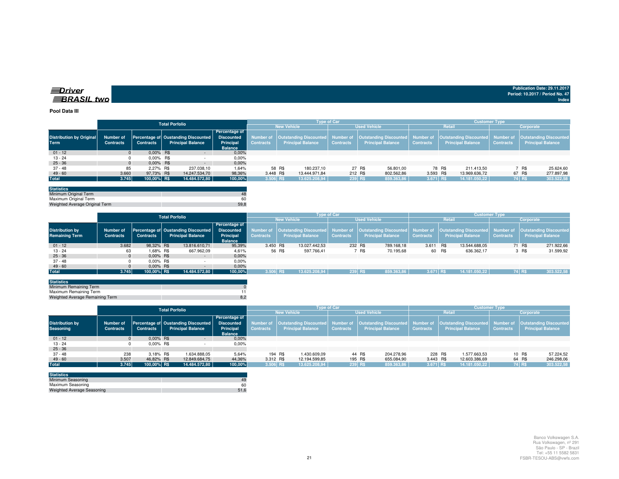| RASIL<br>٠ |
|------------|

#### **Pool Data III**

|                                         |                               |                  | <b>Total Porfolio</b>                                                             |                                                     |                  |                          | <b>Type of Car</b> |                          | <b>Customer Type</b> |                          |                  |                                                                                                                                                                         |  |  |
|-----------------------------------------|-------------------------------|------------------|-----------------------------------------------------------------------------------|-----------------------------------------------------|------------------|--------------------------|--------------------|--------------------------|----------------------|--------------------------|------------------|-------------------------------------------------------------------------------------------------------------------------------------------------------------------------|--|--|
|                                         |                               |                  |                                                                                   |                                                     |                  | <b>New Vehicle</b>       |                    | <b>Used Vehicle</b>      |                      | Retail                   | Corporate        |                                                                                                                                                                         |  |  |
| Distribution by Original<br><b>Term</b> | Number of<br><b>Contracts</b> | <b>Contracts</b> | <b>Percentage of Oustanding Discounted Discounted</b><br><b>Principal Balance</b> | Percentage of<br><b>Principal</b><br><b>Balance</b> | <b>Contracts</b> | <b>Principal Balance</b> | <b>Contracts</b>   | <b>Principal Balance</b> | <b>Contracts</b>     | <b>Principal Balance</b> | <b>Contracts</b> | Number of  Outstanding Discounted  Number of  Outstanding Discounted  Number of  Outstanding Discounted  Number of  Outstanding Discounted <br><b>Principal Balance</b> |  |  |
| $01 - 12$                               | $\Omega$                      | $0.00\%$ R\$     | $\sim$                                                                            | $0.00\%$                                            |                  |                          |                    |                          |                      |                          |                  |                                                                                                                                                                         |  |  |
| 13 - 24                                 |                               | $0.00\%$ R\$     |                                                                                   | 0,00%                                               |                  |                          |                    |                          |                      |                          |                  |                                                                                                                                                                         |  |  |
| $25 - 36$                               |                               | $0.00\%$ R\$     | $\sim$                                                                            | $0.00\%$                                            |                  |                          |                    |                          |                      |                          |                  |                                                                                                                                                                         |  |  |
| 37 - 48                                 | 85                            | 2.27% R\$        | 237.038.10                                                                        | 1,64%                                               |                  | 58 R\$<br>180.237.10     |                    | 27 R\$<br>56.801.00      |                      | 78 R\$<br>211.413.50     |                  | 7 R\$<br>25.624,60                                                                                                                                                      |  |  |
| $49 - 60$                               | 3.660                         | 97.73% R\$       | 14.247.534.70                                                                     | 98,36%                                              | 3.448 R\$        | 13.444.971.84            | 212 R\$            | 802.562.86               | 3.593 R\$            | 13.969.636.72            |                  | 67 R\$<br>277.897,98                                                                                                                                                    |  |  |
| <b>Total</b>                            | 3.745                         | 100,00% R\$      | 14.484.572,80                                                                     | 100,00%                                             | $3.506$ R\$      | 13.625.208,94            |                    | 859.363,86<br>239 R\$    | 3.671 R\$            | 14.181.050,22            |                  | 74 R\$<br>303.522,58                                                                                                                                                    |  |  |

| <b>Statistics</b>              |      |
|--------------------------------|------|
| Minimum Original Term          | 48   |
| Maximum Original Term          | 60   |
| Weighted Average Original Term | 59.8 |
|                                |      |

|                        |                  |                  | <b>Total Porfolio</b>               |                     |                  |                          | <b>Type of Car</b> |                       | <b>Customer Type</b> |                             |                  |                                                                                                                                            |  |  |
|------------------------|------------------|------------------|-------------------------------------|---------------------|------------------|--------------------------|--------------------|-----------------------|----------------------|-----------------------------|------------------|--------------------------------------------------------------------------------------------------------------------------------------------|--|--|
|                        |                  |                  |                                     |                     |                  | <b>New Vehicle</b>       |                    | <b>Used Vehicle</b>   |                      | Retail                      | Corporate        |                                                                                                                                            |  |  |
|                        |                  |                  |                                     | Percentage of       |                  |                          |                    |                       |                      |                             |                  |                                                                                                                                            |  |  |
| <b>Distribution by</b> | Number of        |                  | Percentage of Oustanding Discounted | <b>Discounted</b>   |                  |                          |                    |                       |                      |                             |                  | Number of  Outstanding Discounted  Number of  Outstanding Discounted  Number of  Outstanding Discounted  Number of  Outstanding Discounted |  |  |
| <b>Remaining Term</b>  | <b>Contracts</b> | <b>Contracts</b> | <b>Principal Balance</b>            | Principal           | <b>Contracts</b> | <b>Principal Balance</b> | <b>Contracts</b>   | Principal Balance     | <b>Contracts</b>     | <b>Principal Balance</b>    | <b>Contracts</b> | <b>Principal Balance</b>                                                                                                                   |  |  |
|                        |                  |                  |                                     | <b>Balance</b>      |                  |                          |                    |                       |                      |                             |                  |                                                                                                                                            |  |  |
| $01 - 12$              | 3.682            | 98.32% R\$       | 13.816.610.71                       | 95,39%              | 3.450 R\$        | 13.027.442.53            |                    | 232 R\$<br>789.168.18 | 3.611                | <b>R\$</b><br>13.544.688.05 |                  | 71 R\$<br>271.922,66                                                                                                                       |  |  |
| $13 - 24$              | 63               | 1.68% R\$        | 667.962,09                          | 4,61%               |                  | 56 R\$<br>597.766.41     |                    | 70.195,68<br>7 R\$    |                      | 60 R\$<br>636.362,17        |                  | 3 R\$<br>31.599,92                                                                                                                         |  |  |
| $25 - 36$              |                  | $0.00\%$ R\$     |                                     | 0,00%<br>$\sim 100$ |                  |                          |                    |                       |                      |                             |                  |                                                                                                                                            |  |  |
| 37 - 48                |                  | $0.00\%$ R\$     |                                     | 0.00%               |                  |                          |                    |                       |                      |                             |                  |                                                                                                                                            |  |  |
| $49 - 60$              |                  | $0.00\%$ R\$     |                                     | 0,00%               |                  |                          |                    |                       |                      |                             |                  |                                                                                                                                            |  |  |
| <b>Total</b>           | 3.745            | 100.00% RS       | 14.484.572.80                       | 100,00%             | 3.506 R\$        | 13.625.208.94            |                    | 239 RS<br>859.363.86  | 3.671 RS             | 14.181.050.22               |                  | <b>74 RS</b><br>303.522,58                                                                                                                 |  |  |
|                        |                  |                  |                                     |                     |                  |                          |                    |                       |                      |                             |                  |                                                                                                                                            |  |  |

|                                            | <b>Total Porfolio</b>         |                  |  |                                                                 |                                                        |                    |                          | <b>Type of Car</b> |                     | <b>Customer Type</b>     |                  |                                                                                                                                                      |               |                  |        |                                                           |
|--------------------------------------------|-------------------------------|------------------|--|-----------------------------------------------------------------|--------------------------------------------------------|--------------------|--------------------------|--------------------|---------------------|--------------------------|------------------|------------------------------------------------------------------------------------------------------------------------------------------------------|---------------|------------------|--------|-----------------------------------------------------------|
|                                            |                               |                  |  |                                                                 |                                                        | <b>New Vehicle</b> |                          |                    | <b>Used Vehicle</b> |                          |                  | Corporate                                                                                                                                            |               |                  |        |                                                           |
| <b>Distribution by</b><br><b>Seasoning</b> | Number of<br><b>Contracts</b> | <b>Contracts</b> |  | Percentage of Oustanding Discounted<br><b>Principal Balance</b> | <b>Percentage of</b><br><b>Discounted</b><br>Principal | <b>Contracts</b>   | <b>Principal Balance</b> | <b>Contracts</b>   |                     | <b>Principal Balance</b> | <b>Contracts</b> | Number of   Outstanding Discounted   Number of   Outstanding Discounted   Number of   Outstanding Discounted   Number of<br><b>Principal Balance</b> |               | <b>Contracts</b> |        | <b>Outstanding Discounted</b><br><b>Principal Balance</b> |
| $01 - 12$                                  |                               | 0.00% R\$        |  |                                                                 | <b>Balance</b><br>0.00%                                |                    |                          |                    |                     |                          |                  |                                                                                                                                                      |               |                  |        |                                                           |
| $13 - 24$                                  |                               | $0.00\%$ R\$     |  | $\sim$                                                          | 0,00%                                                  |                    |                          |                    |                     |                          |                  |                                                                                                                                                      |               |                  |        |                                                           |
| $25 - 36$                                  |                               |                  |  |                                                                 |                                                        |                    |                          |                    |                     |                          |                  |                                                                                                                                                      |               |                  |        |                                                           |
| $37 - 48$                                  | 238                           | 3.18% R\$        |  | 1.634.888.05                                                    | 5,64%                                                  | 194 R\$            | 1.430.609.09             |                    | 44 R\$              | 204.278.96               | 228 R\$          |                                                                                                                                                      | 1.577.663.53  |                  | 10 R\$ | 57.224,52                                                 |
| $49 - 60$                                  | 3.507                         | 46.82% R\$       |  | 12.849.684.75                                                   | 44.36%                                                 | 3.312 R\$          | 12.194.599.85            |                    | 195 R\$             | 655.084.90               | 3.443 R\$        |                                                                                                                                                      | 12.603.386.69 |                  | 64 R\$ | 246.298,06                                                |
| Total                                      | 3.745                         | 100,00% R\$      |  | 14.484.572.80                                                   | 100,00%                                                | 3.506 R\$          | 13.625.208.94            |                    | 239 R\$             | 859.363,86               | $3.671$ RS       |                                                                                                                                                      | 14.181.050.22 |                  | 74 RS  | 303.522,58                                                |

| <b>Statistics</b>                 |    |
|-----------------------------------|----|
| Minimum Seasoning                 | 49 |
| Maximum Seasoning                 | 60 |
| <b>Weighted Average Seasoning</b> |    |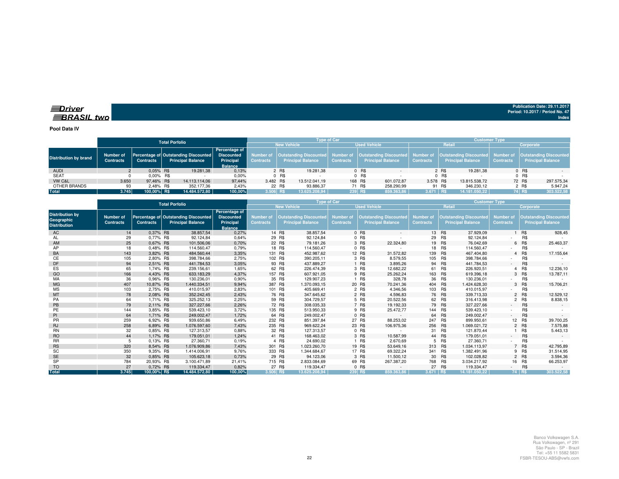$\equiv$ Driver **BRASIL** two

**Publication Date: 29.11.2017 Period: 10.2017 / Period No. 47Index**

**Pool Data IV**

|                              | <b>Total Porfolio</b>           |                  |                                                                                    |                            |                    |                                                                                                         |               | <b>Type of Car</b> |                          |            | <b>Customer Type</b> |                                                                                         |               |                  |        |                          |
|------------------------------|---------------------------------|------------------|------------------------------------------------------------------------------------|----------------------------|--------------------|---------------------------------------------------------------------------------------------------------|---------------|--------------------|--------------------------|------------|----------------------|-----------------------------------------------------------------------------------------|---------------|------------------|--------|--------------------------|
|                              |                                 |                  |                                                                                    |                            | <b>New Vehicle</b> |                                                                                                         |               |                    | <b>Used Vehicle</b>      |            | Retail               |                                                                                         | Corporate     |                  |        |                          |
| <b>Distribution by brand</b> | Number of 1<br><b>Contracts</b> | <b>Contracts</b> | <b>Percentage of Outstanding Discounted</b> Discounted<br><b>Principal Balance</b> | Percentage of<br>Principal | <b>Contracts</b>   | Number of Cutstanding Discounted Number of Cutstanding Discounted Number of<br><b>Principal Balance</b> |               | <b>Contracts</b>   | <b>Principal Balance</b> |            | <b>Contracts</b>     | Outstanding Discounted   Number of   Outstanding Discounted<br><b>Principal Balance</b> |               | <b>Contracts</b> |        | <b>Principal Balance</b> |
|                              |                                 |                  |                                                                                    | <b>Balance</b>             |                    |                                                                                                         |               |                    |                          |            |                      |                                                                                         |               |                  |        |                          |
| AUDI                         |                                 | $0.05\%$ R\$     | 19,281,38                                                                          | 0,13%                      |                    | 2 R\$                                                                                                   | 19,281.38     |                    | 0 R\$                    |            |                      | 2 R\$                                                                                   | 19.281.38     |                  | 0 R\$  |                          |
| SEAT                         |                                 | $0.00\%$ R\$     |                                                                                    | 0,00%                      |                    | 0 R\$                                                                                                   |               |                    | 0 R\$                    |            |                      | 0 R\$                                                                                   |               |                  | 0 R\$  |                          |
| VW C&L                       | 3.650                           | 97.46% R\$       | 14.113.114.06                                                                      | 97,44%                     | 3.482 R\$          |                                                                                                         | 13.512.041.19 | 168 R\$            |                          | 601.072.87 | 3.578 R\$            |                                                                                         | 13.815.538.72 |                  | 72 R\$ | 297.575,34               |
| OTHER BRANDS                 | 93                              | 2.48% R\$        | 352.177.36                                                                         | 2.43%                      |                    | 22 R\$                                                                                                  | 93.886.37     |                    | 71 R\$                   | 258.290.99 |                      | 91 R\$                                                                                  | 346.230.12    |                  | 2 R\$  | 5.947,24                 |
| <b>Total</b>                 | 3.745                           | 100.00% RS       | 14.484.572.80                                                                      | 100.00%                    | 3.506 RS           |                                                                                                         | 13.625.208.94 | 239 R\$            |                          | 859.363.86 | $3.671$ RS           |                                                                                         | 14.181.050.22 |                  | 74 R\$ | 303.522,58               |
|                              |                                 |                  |                                                                                    |                            |                    |                                                                                                         |               |                    |                          |            |                      |                                                                                         |               |                  |        |                          |

|                                                             |                                      |                  | <b>Total Porfolio</b>                                            |                                                                   |                               | <b>Type of Car</b>                                        |                                      | <b>Customer Type</b><br>Retail |                                                           |                                      |         |                                                           |                                      |           |                                                           |
|-------------------------------------------------------------|--------------------------------------|------------------|------------------------------------------------------------------|-------------------------------------------------------------------|-------------------------------|-----------------------------------------------------------|--------------------------------------|--------------------------------|-----------------------------------------------------------|--------------------------------------|---------|-----------------------------------------------------------|--------------------------------------|-----------|-----------------------------------------------------------|
|                                                             |                                      |                  |                                                                  |                                                                   |                               | <b>New Vehicle</b>                                        |                                      |                                | <b>Used Vehicle</b>                                       |                                      |         |                                                           |                                      | Corporate |                                                           |
| <b>Distribution by</b><br>Geographic<br><b>Distribution</b> | <b>Number of</b><br><b>Contracts</b> | <b>Contracts</b> | Percentage of Outstanding Discounted<br><b>Principal Balance</b> | Percentage of<br><b>Discounted</b><br>Principal<br><b>Balance</b> | <b>Number of</b><br>Contracts | <b>Outstanding Discounted</b><br><b>Principal Balance</b> | <b>Number of</b><br><b>Contracts</b> |                                | <b>Outstanding Discounted</b><br><b>Principal Balance</b> | <b>Number of</b><br><b>Contracts</b> |         | <b>Outstanding Discounted</b><br><b>Principal Balance</b> | <b>Number of</b><br><b>Contracts</b> |           | <b>Outstanding Discounted</b><br><b>Principal Balance</b> |
| AC                                                          | 14                                   | 0,37% R\$        | 38.857,54                                                        | 0,27%                                                             |                               | 38.857,54<br>14 R\$                                       |                                      | $0$ R\$                        | $\sim$                                                    |                                      | 13 R\$  | 37.929,09                                                 |                                      | 1 R\$     | 928,45                                                    |
| AL                                                          | 29                                   | 0,77% R\$        | 92.124,84                                                        | 0,64%                                                             |                               | 29 R\$<br>92.124,84                                       |                                      | $0$ R\$                        |                                                           | 29                                   | R\$     | 92.124,84                                                 |                                      | R\$       |                                                           |
| AM                                                          | 25                                   | 0.67% R\$        | 101.506,06                                                       | 0,70%                                                             |                               | 22 R\$<br>79.181,26                                       |                                      | 3 R\$                          | 22.324,80                                                 |                                      | 19 R\$  | 76.042,69                                                 |                                      | 6 R\$     | 25.463,37                                                 |
| AP                                                          | 18                                   | 0.48% R\$        | 114.560.47                                                       | 0,79%                                                             |                               | 18 R\$<br>114.560.47                                      |                                      | 0 R\$                          |                                                           | 18                                   | R\$     | 114.560.47                                                |                                      | R\$       |                                                           |
| BA                                                          | 143                                  | 3,82% R\$        | 484.560,44                                                       | 3,35%                                                             |                               | 131 R\$<br>452.987,62                                     |                                      | 12 R\$                         | 31.572,82                                                 |                                      | 139 R\$ | 467.404,80                                                | $\overline{4}$                       | R\$       | 17.155,64                                                 |
| СE                                                          | 105                                  | 2,80% R\$        | 398.784,66                                                       | 2,75%                                                             |                               | 102 R\$<br>390.205,11                                     |                                      | 3 R\$                          | 8.579,55                                                  | 105                                  | R\$     | 398.784,66                                                |                                      | R\$       |                                                           |
| DF                                                          | 94                                   | 2.51% R\$        | 441.784,53                                                       | 3,05%                                                             |                               | 93 R\$<br>437.889,27                                      |                                      | 1 R\$                          | 3.895,26                                                  |                                      | 94 R\$  | 441.784.53                                                |                                      | R\$       |                                                           |
| <b>ES</b>                                                   | 65                                   | 1.74% R\$        | 239.156.61                                                       | 1,65%                                                             |                               | 62 R\$<br>226.474,39                                      |                                      | 3 R\$                          | 12.682,22                                                 | 61                                   | R\$     | 226.920,51                                                | 4                                    | R\$       | 12.236,10                                                 |
| GO                                                          | 166                                  | 4,43% R\$        | 633.183,29                                                       | 4,37%                                                             |                               | 157 R\$<br>607.921,05                                     |                                      | 9 R\$                          | 25.262,24                                                 | 163 R\$                              |         | 619.396,18                                                |                                      | 3 R\$     | 13.787,11                                                 |
| MA                                                          | 36                                   | 0,96% R\$        | 130.236.01                                                       | 0,90%                                                             |                               | 35 R\$<br>129.907,23                                      |                                      | R\$                            | 328,78                                                    | 36                                   | R\$     | 130.236,01                                                |                                      | R\$       |                                                           |
| <b>MG</b>                                                   | 407                                  | 10.87% R\$       | 1.440.334.51                                                     | 9,94%                                                             | 387 R\$                       | 1.370.093.15                                              |                                      | 20 R\$                         | 70.241.36                                                 | 404 R\$                              |         | 1.424.628.30                                              |                                      | 3 R\$     | 15.706,21                                                 |
| <b>MS</b>                                                   | 103                                  | 2,75% R\$        | 410.015,97                                                       | 2,83%                                                             |                               | 405.669,41<br>101 R\$                                     |                                      | 2 R\$                          | 4.346,56                                                  | 103 R\$                              |         | 410.015,97                                                |                                      | R\$       |                                                           |
| MT                                                          | 78                                   | 2,08% R\$        | 352.242,45                                                       | 2,43%                                                             |                               | 76 R\$<br>347.645,62                                      |                                      | 2 R\$                          | 4.596,83                                                  |                                      | 76 R\$  | 339.713,33                                                |                                      | 2 R\$     | 12.529,12                                                 |
| PA                                                          | 64                                   | 1.71% R\$        | 325.252,13                                                       | 2,25%                                                             |                               | 59 R\$<br>304.729,57                                      |                                      | 5 R\$                          | 20.522,56                                                 | 62                                   | R\$     | 316.413,98                                                | $\overline{2}$                       | R\$       | 8.838,15                                                  |
| PB                                                          | 79                                   | 2,11% R\$        | 327.227,66                                                       | 2,26%                                                             |                               | 72 R\$<br>308.035,33                                      |                                      | 7 R\$                          | 19.192,33                                                 |                                      | 79 R\$  | 327.227,66                                                | $\sim$                               | R\$       | $\sim$                                                    |
| PE                                                          | 144                                  | 3,85% R\$        | 539.423,10                                                       | 3,72%                                                             |                               | 135 R\$<br>513.950,33                                     |                                      | 9 R\$                          | 25.472,77                                                 |                                      | 144 R\$ | 539.423,10                                                |                                      | R\$       |                                                           |
| PI                                                          | 64                                   | 1.71% R\$        | 249.002.47                                                       | 1,72%                                                             |                               | 64 R\$<br>249.002.47                                      |                                      | $0$ R\$                        | $\sim$                                                    |                                      | 64 R\$  | 249.002.47                                                | ÷.                                   | R\$       |                                                           |
| <b>PR</b>                                                   | 259                                  | 6.92% R\$        | 939.650.86                                                       | 6,49%                                                             |                               | 232 R\$<br>851.397,84                                     |                                      | 27 R\$                         | 88.253,02                                                 | 247                                  | R\$     | 899.950,61                                                |                                      | 12 R\$    | 39.700,25                                                 |
| <b>RJ</b>                                                   | 258                                  | 6,89% R\$        | 1.076.597,60                                                     | 7,43%                                                             | 235 R\$                       | 969.622,24                                                |                                      | 23 R\$                         | 106.975,36                                                | 256 R\$                              |         | 1.069.021,72                                              |                                      | 2 R\$     | 7.575,88                                                  |
| <b>RN</b>                                                   | 32                                   | 0,85% R\$        | 127.313,57                                                       | 0,88%                                                             |                               | 32 R\$<br>127.313,57                                      |                                      | $0$ R\$                        |                                                           | 31                                   | R\$     | 121.870,44                                                |                                      | R\$       | 5.443,13                                                  |
| <b>RO</b>                                                   | 44                                   | 1,17% R\$        | 179.051,01                                                       | 1,24%                                                             |                               | 41 R\$<br>168.463.02                                      |                                      | 3 R\$                          | 10.587,99                                                 |                                      | 44 R\$  | 179.051,01                                                | $\sim$                               | R\$       |                                                           |
| <b>RR</b>                                                   |                                      | 0.13% R\$        | 27.360,71                                                        | 0,19%                                                             |                               | 4 R\$<br>24.690,02                                        |                                      | 1 R\$                          | 2.670,69                                                  | 5                                    | R\$     | 27.360,71                                                 |                                      | R\$       |                                                           |
| <b>RS</b>                                                   | 320                                  | 8,54% R\$        | 1.076.909,86                                                     | 7,43%                                                             | 301 R\$                       | 1.023.260,70                                              |                                      | 19 R\$                         | 53.649,16                                                 | 313 R\$                              |         | 1.034.113.97                                              | $7^{\circ}$                          | R\$       | 42.795,89                                                 |
| SC                                                          | 350                                  | 9,35% R\$        | 1.414.006,91                                                     | 9,76%                                                             |                               | 333 R\$<br>1.344.684,67                                   |                                      | 17 R\$                         | 69.322,24                                                 | 341                                  | R\$     | 1.382.491,96                                              |                                      | 9 R\$     | 31.514,95                                                 |
| <b>SE</b>                                                   | 32                                   | 0.85% R\$        | 105.623.18                                                       | 0,73%                                                             |                               | 29 R\$<br>94.123.06                                       |                                      | 3 R\$                          | 11.500,12                                                 |                                      | 30 R\$  | 102.028,82                                                |                                      | 2 R\$     | 3.594,36                                                  |
| <b>SP</b>                                                   | 784                                  | 20.93% R\$       | 3.100.471.89                                                     | 21,41%                                                            | 715 R\$                       | 2.833.084,69                                              |                                      | 69 R\$                         | 267.387,20                                                |                                      | 768 R\$ | 3.034.217,92                                              |                                      | 16 R\$    | 66.253,97                                                 |
| <b>TO</b>                                                   | 27                                   | 0,72% R\$        | 119.334,47                                                       | 0,82%                                                             |                               | 27 R\$<br>119.334,47                                      |                                      | 0 R\$                          | $\sim$                                                    |                                      | 27 R\$  | 119.334.47                                                | $\sim 100$                           | R\$       |                                                           |
| <b>Total</b>                                                | 3.745                                | 100,00% R\$      | 14.484.572.80                                                    | 100.00%                                                           | 3.506 RS                      | 13.625.208.94                                             |                                      | 239 RS                         | 859.363.86                                                | 3.671 RS                             |         | 14.181.050.22                                             |                                      | 74 RS     | 303.522.58                                                |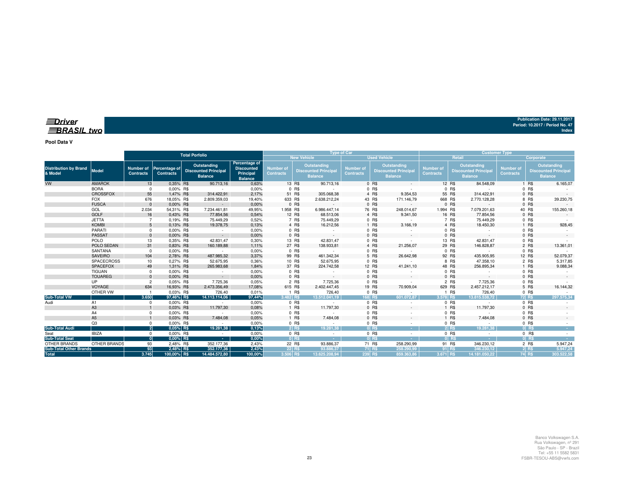**Index**

**Pool Data V**

| <b>Total Porfolio</b>                   |                   |                               |                                   |                                                                     |                                                                   | <b>Type of Car</b>            |         |                                                              |                                      | <b>Customer Type</b> |                                                                    |                                                                                               |                 |                                      |  |                                                              |              |
|-----------------------------------------|-------------------|-------------------------------|-----------------------------------|---------------------------------------------------------------------|-------------------------------------------------------------------|-------------------------------|---------|--------------------------------------------------------------|--------------------------------------|----------------------|--------------------------------------------------------------------|-----------------------------------------------------------------------------------------------|-----------------|--------------------------------------|--|--------------------------------------------------------------|--------------|
|                                         |                   |                               |                                   |                                                                     | <b>New Vehicle</b><br><b>Used Vehicle</b>                         |                               |         |                                                              |                                      |                      | Retail                                                             |                                                                                               | Corporate       |                                      |  |                                                              |              |
| <b>Distribution by Brand</b><br>& Model | <b>Model</b>      | Number of<br><b>Contracts</b> | Percentage of<br><b>Contracts</b> | <b>Outstanding</b><br><b>Discounted Principal</b><br><b>Balance</b> | Percentage of<br><b>Discounted</b><br>Principal<br><b>Balance</b> | Number of<br><b>Contracts</b> |         | Outstanding<br><b>Discounted Principal</b><br><b>Balance</b> | <b>Number of</b><br><b>Contracts</b> |                      | <b>Outstanding</b><br><b>Discounted Principa</b><br><b>Balance</b> | Outstanding<br>Number of<br><b>Discounted Principal</b><br><b>Contracts</b><br><b>Balance</b> |                 | <b>Number of</b><br><b>Contracts</b> |  | Outstanding<br><b>Discounted Principal</b><br><b>Balance</b> |              |
| <b>VW</b>                               | <b>AMAROK</b>     | 13                            | 0.35% R\$                         | 90.713,16                                                           | 0,63%                                                             |                               | 13 R\$  | 90.713,16                                                    |                                      | 0 R\$                |                                                                    |                                                                                               | 12 R\$          | 84.548,09                            |  | 1 R\$                                                        | 6.165,07     |
|                                         | <b>BORA</b>       | $\Omega$                      | 0.00% R\$                         | $\sim$                                                              | 0,00%                                                             |                               | 0 R\$   | $\sim$                                                       |                                      | 0 R\$                |                                                                    |                                                                                               | 0 R\$           | $\sim$                               |  | $0$ R\$                                                      |              |
|                                         | <b>CROSSFOX</b>   | 55                            | 1,47% R\$                         | 314.422,91                                                          | 2,17%                                                             |                               | 51 R\$  | 305.068,38                                                   |                                      | 4 R\$                | 9.354,53                                                           |                                                                                               | 55 R\$          | 314.422,91                           |  | 0 R\$                                                        |              |
|                                         | <b>FOX</b>        | 676                           | 18,05% R\$                        | 2.809.359,03                                                        | 19,40%                                                            | 633 R\$                       |         | 2.638.212,24                                                 |                                      | 43 R\$               | 171.146,79                                                         | 668 R\$                                                                                       |                 | 2.770.128,28                         |  | 8 R\$                                                        | 39.230,75    |
|                                         | <b>FUSCA</b>      | $\Omega$                      | 0.00% R\$                         | <b>Contractor</b>                                                   | 0.00%                                                             |                               | 0 R\$   | $\sim$                                                       |                                      | 0 R\$                |                                                                    |                                                                                               | 0 R\$           | $\sim$                               |  | 0 R\$                                                        |              |
|                                         | GOL               | 2.034                         | 54,31% R\$                        | 7.234.461,81                                                        | 49,95%                                                            | 1.958 R\$                     |         | 6.986.447,14                                                 |                                      | 76 R\$               | 248.014,67                                                         | 1.994 R\$                                                                                     |                 | 7.079.201,63                         |  | 40 R\$                                                       | 155.260,18   |
|                                         | <b>GOLF</b>       | 16                            | 0,43% R\$                         | 77.854,56                                                           | 0,54%                                                             |                               | 12 R\$  | 68.513,06                                                    |                                      | 4 R\$                | 9.341,50                                                           |                                                                                               | 16 R\$          | 77.854,56                            |  | 0 R\$                                                        |              |
|                                         | <b>JETTA</b>      |                               | $0.19\%$ R\$                      | 75.449.29                                                           | 0.52%                                                             |                               | 7 R\$   | 75.449.29                                                    |                                      | 0 R\$                | $\sim$                                                             |                                                                                               | 7 R\$           | 75.449.29                            |  | 0 R\$                                                        |              |
|                                         | <b>KOMBI</b>      |                               | 0.13% R\$                         | 19.378,75                                                           | 0,13%                                                             |                               | 4 R\$   | 16.212,56                                                    |                                      | 1 R\$                | 3.166,19                                                           |                                                                                               | 4 R\$           | 18.450,30                            |  | 1 R\$                                                        | 928,45       |
|                                         | PARATI            |                               | 0.00% R\$                         | $\sim$                                                              | 0,00%                                                             |                               | 0 R\$   |                                                              |                                      | 0 R\$                |                                                                    |                                                                                               | 0 R\$           |                                      |  | 0 R\$                                                        |              |
|                                         | <b>PASSAT</b>     |                               | 0.00% R\$                         | <b>Contractor</b>                                                   | 0,00%                                                             |                               | 0 R\$   |                                                              |                                      | 0 R\$                |                                                                    |                                                                                               | 0 R\$           |                                      |  | 0 R\$                                                        |              |
|                                         | POLO              | 13                            | 0.35% R\$                         | 42.831,47                                                           | 0,30%                                                             |                               | 13 R\$  | 42.831,47                                                    |                                      | 0 R\$                | $\sim$                                                             |                                                                                               | 13 R\$          | 42.831,47                            |  | 0 R\$                                                        |              |
|                                         | POLO SEDAN        | 31                            | 0.83% R\$                         | 160.189,88                                                          | 1,11%                                                             |                               | 27 R\$  | 138.933,81                                                   |                                      | 4 R\$                | 21.256,07                                                          |                                                                                               | 29 R\$          | 146.828,87                           |  | 2 R\$                                                        | 13.361,01    |
|                                         | SANTANA           | $\Omega$                      | 0,00% R\$                         | $\sim$                                                              | 0,00%                                                             |                               | 0 R\$   | $\sim$                                                       |                                      | 0 R\$                |                                                                    |                                                                                               | 0 R\$           | $\sim$                               |  | 0 R\$                                                        |              |
|                                         | <b>SAVEIRO</b>    | 104                           | 2,78% R\$                         | 487.985.32                                                          | 3,37%                                                             |                               | 99 R\$  | 461.342,34                                                   |                                      | 5 R\$                | 26.642,98                                                          |                                                                                               | 92 R\$          | 435.905,95                           |  | 12 R\$                                                       | 52.079,37    |
|                                         | <b>SPACECROSS</b> | 10                            | 0,27% R\$                         | 52.675,95                                                           | 0,36%                                                             |                               | 10 R\$  | 52.675,95                                                    |                                      | 0 R\$                |                                                                    |                                                                                               | 8 R\$           | 47.358,10                            |  | 2 R\$                                                        | 5.317,85     |
|                                         | <b>SPACEFOX</b>   | 49                            | 1,31% R\$                         | 265.983,68                                                          | 1,84%                                                             |                               | 37 R\$  | 224.742,58                                                   |                                      | 12 R\$               | 41.241,10                                                          |                                                                                               | 48 R\$          | 256.895,34                           |  | 1 R\$                                                        | 9.088,34     |
|                                         | <b>TIGUAN</b>     |                               | 0,00% R\$                         | $\sim$                                                              | 0,00%                                                             |                               | 0 R\$   |                                                              |                                      | 0 R\$                |                                                                    |                                                                                               | 0 R\$           |                                      |  | 0 R\$                                                        |              |
|                                         | <b>TOUAREG</b>    |                               | 0.00% R\$                         | $\sim 10^{-1}$                                                      | 0,00%                                                             |                               | 0 R\$   | $\sim$ $ \sim$                                               |                                      | 0 R\$                |                                                                    |                                                                                               | 0 R\$           | $\sim$ 100 $\pm$                     |  | 0 R\$                                                        |              |
|                                         | <b>UP</b>         | $\overline{2}$                | 0.05% R\$                         | 7.725,36                                                            | 0,05%                                                             |                               | 2 R\$   | 7.725,36                                                     |                                      | 0 R\$                |                                                                    |                                                                                               | 2 R\$           | 7.725,36                             |  | 0 R\$                                                        |              |
|                                         | <b>VOYAGE</b>     | 634                           | 16,93% R\$                        | 2.473.356,49                                                        | 17,08%                                                            | 615 R\$                       |         | 2.402.447,45                                                 |                                      | 19 R\$               | 70.909,04                                                          | 629 R\$                                                                                       |                 | 2.457.212,17                         |  | 5 R\$                                                        | 16.144,32    |
|                                         | OTHER VW          |                               | $0.03\%$ R\$                      | 726,40                                                              | 0.01%                                                             |                               | 1 R\$   | 726,40                                                       |                                      | 0 R\$                |                                                                    |                                                                                               | 1 R\$           | 726,40                               |  | 0 R\$                                                        |              |
| <b>Sub-Total VW</b>                     |                   | 3.650                         | 97,46% R\$                        | 14.113.114.06                                                       | 97,44%                                                            | 3.482 RS                      |         | 13.512.041.19                                                |                                      | 168 R\$              | 601.072.87                                                         | 3.578 RS                                                                                      |                 | 13.815.538.72                        |  | <b>72 RS</b>                                                 | 297.575.34   |
| Audi                                    | A1                | $\Omega$                      | 0.00% R\$                         |                                                                     | 0,00%                                                             |                               | 0 R\$   |                                                              |                                      | 0 R\$                |                                                                    |                                                                                               | $0$ R\$         |                                      |  | $0$ R\$                                                      |              |
|                                         | A <sub>3</sub>    |                               | 0,03% R\$                         | 11.797,30                                                           | 0,08%                                                             |                               | 1 R\$   | 11.797,30                                                    |                                      | 0 R\$                |                                                                    |                                                                                               | 1 R\$           | 11.797,30                            |  | 0 R\$                                                        |              |
|                                         | A <sub>4</sub>    |                               | 0.00% R\$                         | $\sim$                                                              | 0,00%                                                             |                               | 0 R\$   | $\sim$                                                       |                                      | 0 R\$                |                                                                    |                                                                                               | 0 R\$           | $\sim$                               |  | 0 R\$                                                        |              |
|                                         | A <sub>5</sub>    |                               | 0.03% R\$                         | 7.484,08                                                            | 0,05%                                                             |                               | 1 R\$   | 7.484,08                                                     |                                      | 0 R\$                |                                                                    |                                                                                               | 1 R\$           | 7.484,08                             |  | 0 R\$                                                        |              |
|                                         | Q <sub>3</sub>    |                               | 0.00% R\$                         | $\sim$                                                              | 0,00%                                                             |                               | 0 R\$   |                                                              |                                      | 0 R\$                |                                                                    |                                                                                               | 0 R\$           |                                      |  | 0 R\$                                                        |              |
| <b>Sub-Total Audi</b>                   |                   | $\overline{2}$                | $0.05\%$ R\$                      | 19.281,38                                                           | 0,13%                                                             |                               | $2$ R\$ | 19.281.38                                                    |                                      | $0$ R\$              |                                                                    |                                                                                               | $2$ RS          | 19.281.38                            |  | $0$ R\$                                                      | 14.          |
| Seat                                    | <b>IBIZA</b>      | $\Omega$                      | 0.00% R\$                         |                                                                     | 0,00%                                                             |                               | 0 R\$   | $\sim$                                                       |                                      | 0 R\$                |                                                                    |                                                                                               | 0 R\$           | $\sim$                               |  | 0 R\$                                                        |              |
| <b>Sub-Total Seat</b>                   |                   | $\Omega$                      | 0,00% R\$                         | <b>College</b>                                                      | 0,00%                                                             |                               | $0$ R\$ | <b>College</b>                                               |                                      | $0$ R\$              | <b>Contract</b>                                                    |                                                                                               | 0 <sup>RS</sup> | <b>State State</b>                   |  | $0$ R\$                                                      | <b>START</b> |
| <b>OTHER BRANDS</b>                     | OTHER BRANDS      | 93                            | 2,48% R\$                         | 352.177,36                                                          | 2,43%                                                             |                               | 22 R\$  | 93.886,37                                                    |                                      | 71 R\$               | 258.290,99                                                         |                                                                                               | 91 R\$          | 346.230,12                           |  | 2 R\$                                                        | 5.947,24     |
| <b>Sub-Total Other Brands</b>           |                   | 93                            | 2,48% R\$                         | 352.177,36                                                          | 2,43%                                                             | 22 R\$                        |         | 93.886.37                                                    |                                      | 71 R\$               | 258.290.99                                                         |                                                                                               | 91 RS           | 346.230.12                           |  | $2$ R\$                                                      | 5.947,24     |
| <b>Total</b>                            |                   | 3.745                         | 100,00% R\$                       | 14.484.572,80                                                       | 100.00%                                                           | 3.506 R\$                     |         | 13.625.208.94                                                |                                      | 239 R\$              | 859.363.86                                                         | 3.671 RS                                                                                      |                 | 14.181.050.22                        |  | 74 R\$                                                       | 303.522.58   |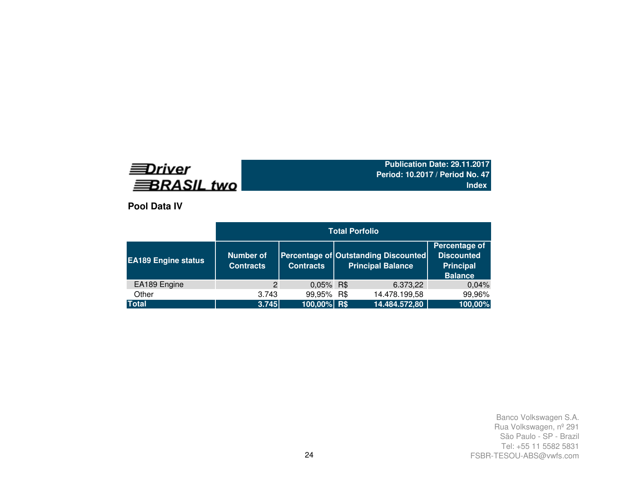# **EDriver BRASIL** two

### **Publication Date: 29.11.2017 Period: 10.2017 / Period No. 47Index**

# **Pool Data IV**

|                            | <b>Total Porfolio</b>                |                  |  |                                                                  |                                                                          |  |  |  |  |  |  |
|----------------------------|--------------------------------------|------------------|--|------------------------------------------------------------------|--------------------------------------------------------------------------|--|--|--|--|--|--|
| <b>EA189 Engine status</b> | <b>Number of</b><br><b>Contracts</b> | <b>Contracts</b> |  | Percentage of Outstanding Discounted<br><b>Principal Balance</b> | Percentage of<br><b>Discounted</b><br><b>Principal</b><br><b>Balance</b> |  |  |  |  |  |  |
| EA189 Engine               | $\overline{2}$                       | 0,05% R\$        |  | 6.373,22                                                         | 0,04%                                                                    |  |  |  |  |  |  |
| Other                      | 3.743                                | 99,95% R\$       |  | 14.478.199,58                                                    | 99,96%                                                                   |  |  |  |  |  |  |
| <b>Total</b>               | 3.745                                | 100,00% R\$      |  | 14.484.572,80                                                    | 100,00%                                                                  |  |  |  |  |  |  |